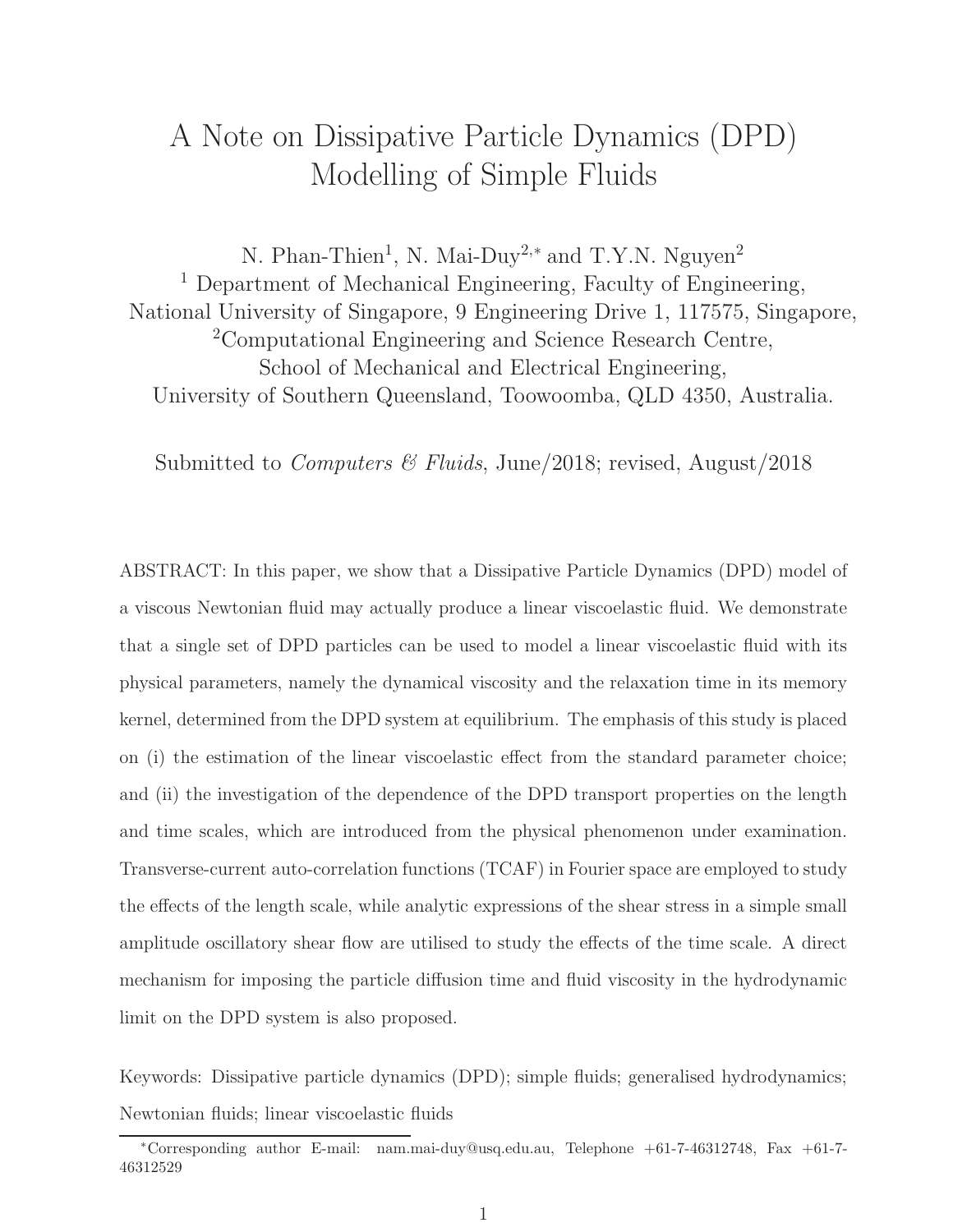## A Note on Dissipative Particle Dynamics (DPD) Modelling of Simple Fluids

N. Phan-Thien<sup>1</sup>, N. Mai-Duy<sup>2,\*</sup> and T.Y.N. Nguyen<sup>2</sup> <sup>1</sup> Department of Mechanical Engineering, Faculty of Engineering, National University of Singapore, 9 Engineering Drive 1, 117575, Singapore, <sup>2</sup>Computational Engineering and Science Research Centre, School of Mechanical and Electrical Engineering, University of Southern Queensland, Toowoomba, QLD 4350, Australia.

Submitted to *Computers & Fluids*, June/2018; revised, August/2018

ABSTRACT: In this paper, we show that a Dissipative Particle Dynamics (DPD) model of a viscous Newtonian fluid may actually produce a linear viscoelastic fluid. We demonstrate that a single set of DPD particles can be used to model a linear viscoelastic fluid with its physical parameters, namely the dynamical viscosity and the relaxation time in its memory kernel, determined from the DPD system at equilibrium. The emphasis of this study is placed on (i) the estimation of the linear viscoelastic effect from the standard parameter choice; and (ii) the investigation of the dependence of the DPD transport properties on the length and time scales, which are introduced from the physical phenomenon under examination. Transverse-current auto-correlation functions (TCAF) in Fourier space are employed to study the effects of the length scale, while analytic expressions of the shear stress in a simple small amplitude oscillatory shear flow are utilised to study the effects of the time scale. A direct mechanism for imposing the particle diffusion time and fluid viscosity in the hydrodynamic limit on the DPD system is also proposed.

Keywords: Dissipative particle dynamics (DPD); simple fluids; generalised hydrodynamics; Newtonian fluids; linear viscoelastic fluids

<sup>∗</sup>Corresponding author E-mail: nam.mai-duy@usq.edu.au, Telephone +61-7-46312748, Fax +61-7- 46312529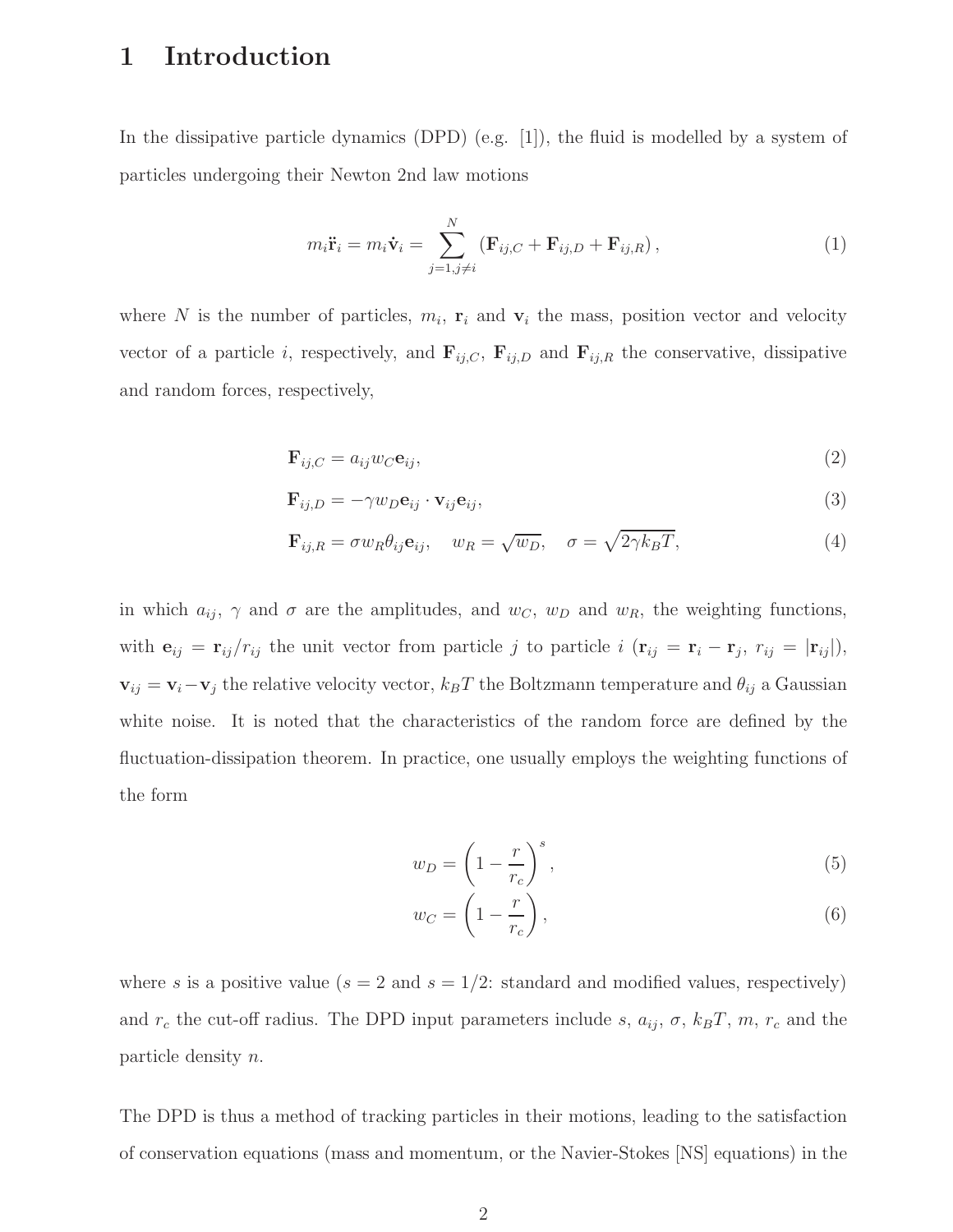## 1 Introduction

In the dissipative particle dynamics (DPD) (e.g.  $[1]$ ), the fluid is modelled by a system of particles undergoing their Newton 2nd law motions

$$
m_i \ddot{\mathbf{r}}_i = m_i \dot{\mathbf{v}}_i = \sum_{j=1, j \neq i}^N (\mathbf{F}_{ij,C} + \mathbf{F}_{ij,D} + \mathbf{F}_{ij,R}), \qquad (1)
$$

where N is the number of particles,  $m_i$ ,  $\mathbf{r}_i$  and  $\mathbf{v}_i$  the mass, position vector and velocity vector of a particle i, respectively, and  $\mathbf{F}_{ij,C}$ ,  $\mathbf{F}_{ij,D}$  and  $\mathbf{F}_{ij,R}$  the conservative, dissipative and random forces, respectively,

$$
\mathbf{F}_{ij,C} = a_{ij} w_C \mathbf{e}_{ij},\tag{2}
$$

$$
\mathbf{F}_{ij,D} = -\gamma w_D \mathbf{e}_{ij} \cdot \mathbf{v}_{ij} \mathbf{e}_{ij},\tag{3}
$$

$$
\mathbf{F}_{ij,R} = \sigma w_R \theta_{ij} \mathbf{e}_{ij}, \quad w_R = \sqrt{w_D}, \quad \sigma = \sqrt{2\gamma k_B T}, \tag{4}
$$

in which  $a_{ij}$ ,  $\gamma$  and  $\sigma$  are the amplitudes, and  $w_C$ ,  $w_D$  and  $w_R$ , the weighting functions, with  $\mathbf{e}_{ij} = \mathbf{r}_{ij}/r_{ij}$  the unit vector from particle j to particle  $i$  ( $\mathbf{r}_{ij} = \mathbf{r}_i - \mathbf{r}_j$ ,  $r_{ij} = |\mathbf{r}_{ij}|$ ),  **the relative velocity vector,**  $k_B T$  **the Boltzmann temperature and**  $\theta_{ij}$  **a Gaussian** white noise. It is noted that the characteristics of the random force are defined by the fluctuation-dissipation theorem. In practice, one usually employs the weighting functions of the form

$$
w_D = \left(1 - \frac{r}{r_c}\right)^s,\tag{5}
$$

$$
w_C = \left(1 - \frac{r}{r_c}\right),\tag{6}
$$

where s is a positive value  $(s = 2 \text{ and } s = 1/2$ : standard and modified values, respectively) and  $r_c$  the cut-off radius. The DPD input parameters include s,  $a_{ij}$ ,  $\sigma$ ,  $k_BT$ ,  $m$ ,  $r_c$  and the particle density n.

The DPD is thus a method of tracking particles in their motions, leading to the satisfaction of conservation equations (mass and momentum, or the Navier-Stokes [NS] equations) in the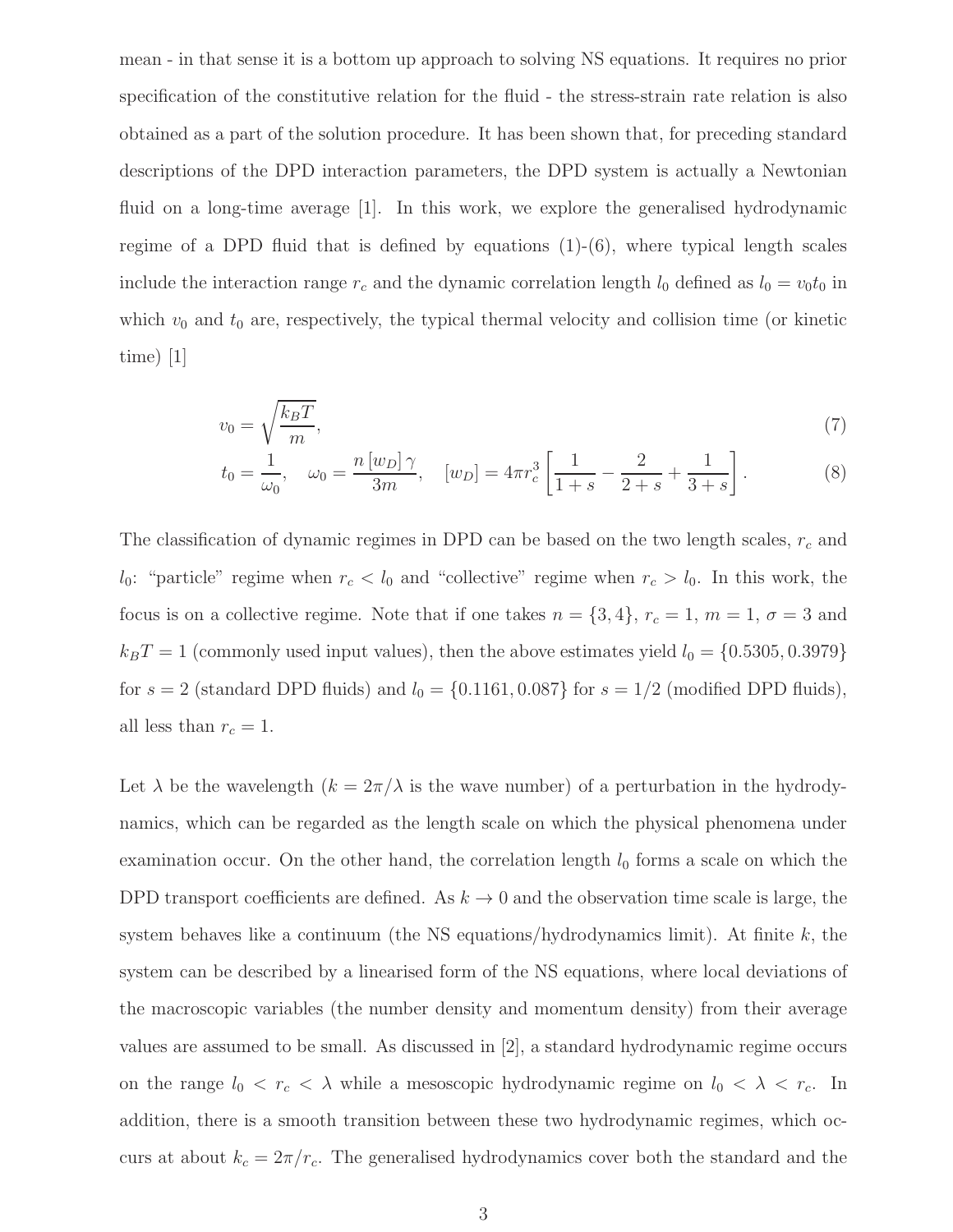mean - in that sense it is a bottom up approach to solving NS equations. It requires no prior specification of the constitutive relation for the fluid - the stress-strain rate relation is also obtained as a part of the solution procedure. It has been shown that, for preceding standard descriptions of the DPD interaction parameters, the DPD system is actually a Newtonian fluid on a long-time average [1]. In this work, we explore the generalised hydrodynamic regime of a DPD fluid that is defined by equations  $(1)-(6)$ , where typical length scales include the interaction range  $r_c$  and the dynamic correlation length  $l_0$  defined as  $l_0 = v_0 t_0$  in which  $v_0$  and  $t_0$  are, respectively, the typical thermal velocity and collision time (or kinetic time) [1]

$$
v_0 = \sqrt{\frac{k_B T}{m}},\tag{7}
$$

$$
t_0 = \frac{1}{\omega_0}, \quad \omega_0 = \frac{n [w_D] \gamma}{3m}, \quad [w_D] = 4\pi r_c^3 \left[ \frac{1}{1+s} - \frac{2}{2+s} + \frac{1}{3+s} \right]. \tag{8}
$$

The classification of dynamic regimes in DPD can be based on the two length scales,  $r_c$  and  $l_0$ : "particle" regime when  $r_c < l_0$  and "collective" regime when  $r_c > l_0$ . In this work, the focus is on a collective regime. Note that if one takes  $n = \{3, 4\}$ ,  $r_c = 1$ ,  $m = 1$ ,  $\sigma = 3$  and  $k_BT = 1$  (commonly used input values), then the above estimates yield  $l_0 = \{0.5305, 0.3979\}$ for  $s = 2$  (standard DPD fluids) and  $l_0 = \{0.1161, 0.087\}$  for  $s = 1/2$  (modified DPD fluids), all less than  $r_c = 1$ .

Let  $\lambda$  be the wavelength  $(k = 2\pi/\lambda)$  is the wave number) of a perturbation in the hydrodynamics, which can be regarded as the length scale on which the physical phenomena under examination occur. On the other hand, the correlation length  $l_0$  forms a scale on which the DPD transport coefficients are defined. As  $k \to 0$  and the observation time scale is large, the system behaves like a continuum (the NS equations/hydrodynamics limit). At finite  $k$ , the system can be described by a linearised form of the NS equations, where local deviations of the macroscopic variables (the number density and momentum density) from their average values are assumed to be small. As discussed in [2], a standard hydrodynamic regime occurs on the range  $l_0 < r_c < \lambda$  while a mesoscopic hydrodynamic regime on  $l_0 < \lambda < r_c$ . In addition, there is a smooth transition between these two hydrodynamic regimes, which occurs at about  $k_c = 2\pi/r_c$ . The generalised hydrodynamics cover both the standard and the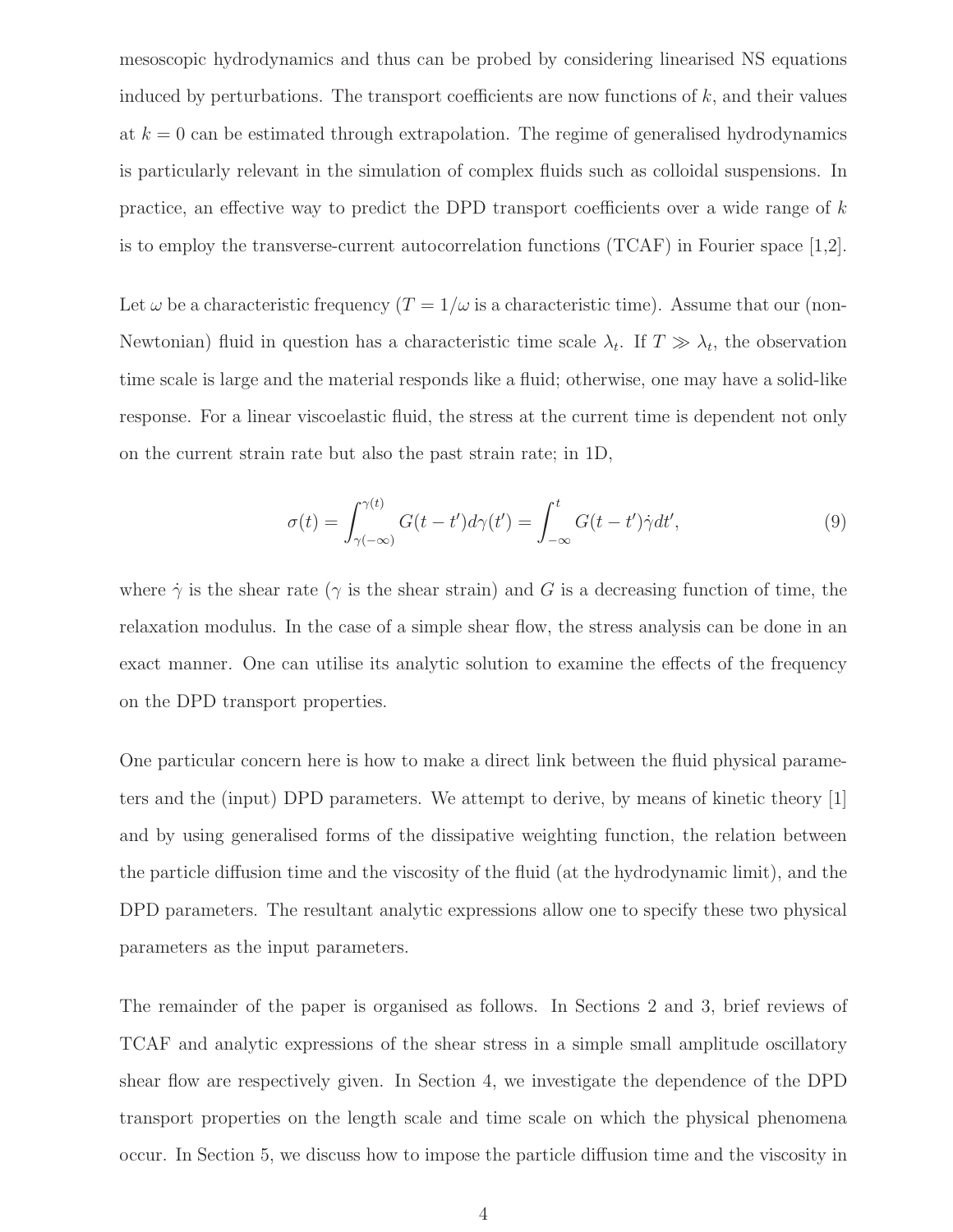mesoscopic hydrodynamics and thus can be probed by considering linearised NS equations induced by perturbations. The transport coefficients are now functions of  $k$ , and their values at  $k = 0$  can be estimated through extrapolation. The regime of generalised hydrodynamics is particularly relevant in the simulation of complex fluids such as colloidal suspensions. In practice, an effective way to predict the DPD transport coefficients over a wide range of  $k$ is to employ the transverse-current autocorrelation functions (TCAF) in Fourier space [1,2].

Let  $\omega$  be a characteristic frequency  $(T = 1/\omega)$  is a characteristic time). Assume that our (non-Newtonian) fluid in question has a characteristic time scale  $\lambda_t$ . If  $T \gg \lambda_t$ , the observation time scale is large and the material responds like a fluid; otherwise, one may have a solid-like response. For a linear viscoelastic fluid, the stress at the current time is dependent not only on the current strain rate but also the past strain rate; in 1D,

$$
\sigma(t) = \int_{\gamma(-\infty)}^{\gamma(t)} G(t - t') d\gamma(t') = \int_{-\infty}^{t} G(t - t') \dot{\gamma} dt',
$$
\n(9)

where  $\dot{\gamma}$  is the shear rate ( $\gamma$  is the shear strain) and G is a decreasing function of time, the relaxation modulus. In the case of a simple shear flow, the stress analysis can be done in an exact manner. One can utilise its analytic solution to examine the effects of the frequency on the DPD transport properties.

One particular concern here is how to make a direct link between the fluid physical parameters and the (input) DPD parameters. We attempt to derive, by means of kinetic theory [1] and by using generalised forms of the dissipative weighting function, the relation between the particle diffusion time and the viscosity of the fluid (at the hydrodynamic limit), and the DPD parameters. The resultant analytic expressions allow one to specify these two physical parameters as the input parameters.

The remainder of the paper is organised as follows. In Sections 2 and 3, brief reviews of TCAF and analytic expressions of the shear stress in a simple small amplitude oscillatory shear flow are respectively given. In Section 4, we investigate the dependence of the DPD transport properties on the length scale and time scale on which the physical phenomena occur. In Section 5, we discuss how to impose the particle diffusion time and the viscosity in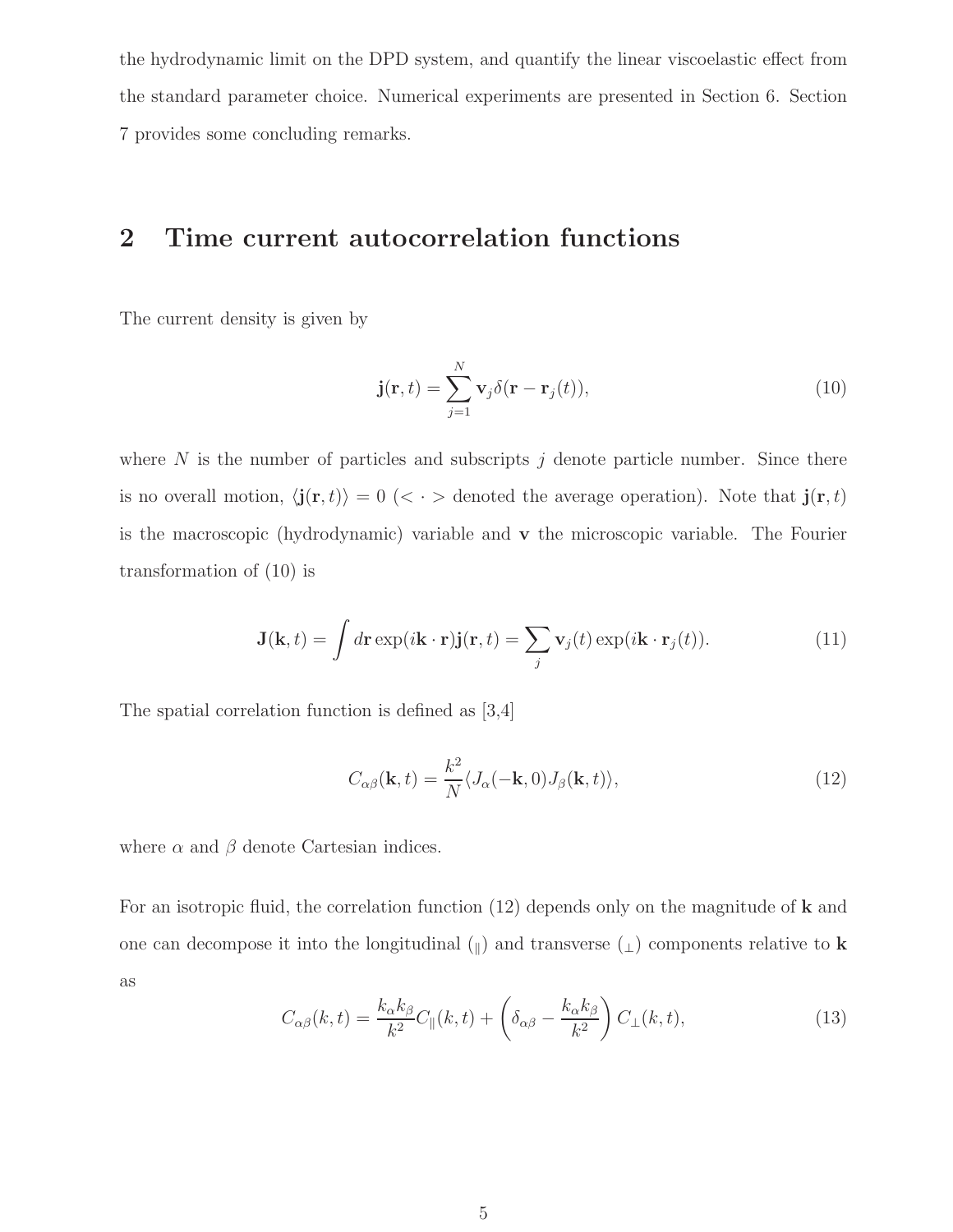the hydrodynamic limit on the DPD system, and quantify the linear viscoelastic effect from the standard parameter choice. Numerical experiments are presented in Section 6. Section 7 provides some concluding remarks.

## 2 Time current autocorrelation functions

The current density is given by

$$
\mathbf{j}(\mathbf{r},t) = \sum_{j=1}^{N} \mathbf{v}_j \delta(\mathbf{r} - \mathbf{r}_j(t)),
$$
\n(10)

where  $N$  is the number of particles and subscripts  $j$  denote particle number. Since there is no overall motion,  $\langle \mathbf{j}(\mathbf{r}, t) \rangle = 0 \langle \langle \cdot \rangle$  denoted the average operation). Note that  $\mathbf{j}(\mathbf{r}, t)$ is the macroscopic (hydrodynamic) variable and v the microscopic variable. The Fourier transformation of (10) is

$$
\mathbf{J}(\mathbf{k},t) = \int d\mathbf{r} \exp(i\mathbf{k}\cdot\mathbf{r})\mathbf{j}(\mathbf{r},t) = \sum_{j} \mathbf{v}_{j}(t) \exp(i\mathbf{k}\cdot\mathbf{r}_{j}(t)).
$$
 (11)

The spatial correlation function is defined as [3,4]

$$
C_{\alpha\beta}(\mathbf{k},t) = \frac{k^2}{N} \langle J_{\alpha}(-\mathbf{k},0)J_{\beta}(\mathbf{k},t) \rangle,
$$
\n(12)

where  $\alpha$  and  $\beta$  denote Cartesian indices.

For an isotropic fluid, the correlation function  $(12)$  depends only on the magnitude of **k** and one can decompose it into the longitudinal  $(\mathbf{r})$  and transverse  $(\mathbf{r})$  components relative to **k** as

$$
C_{\alpha\beta}(k,t) = \frac{k_{\alpha}k_{\beta}}{k^2}C_{\parallel}(k,t) + \left(\delta_{\alpha\beta} - \frac{k_{\alpha}k_{\beta}}{k^2}\right)C_{\perp}(k,t),\tag{13}
$$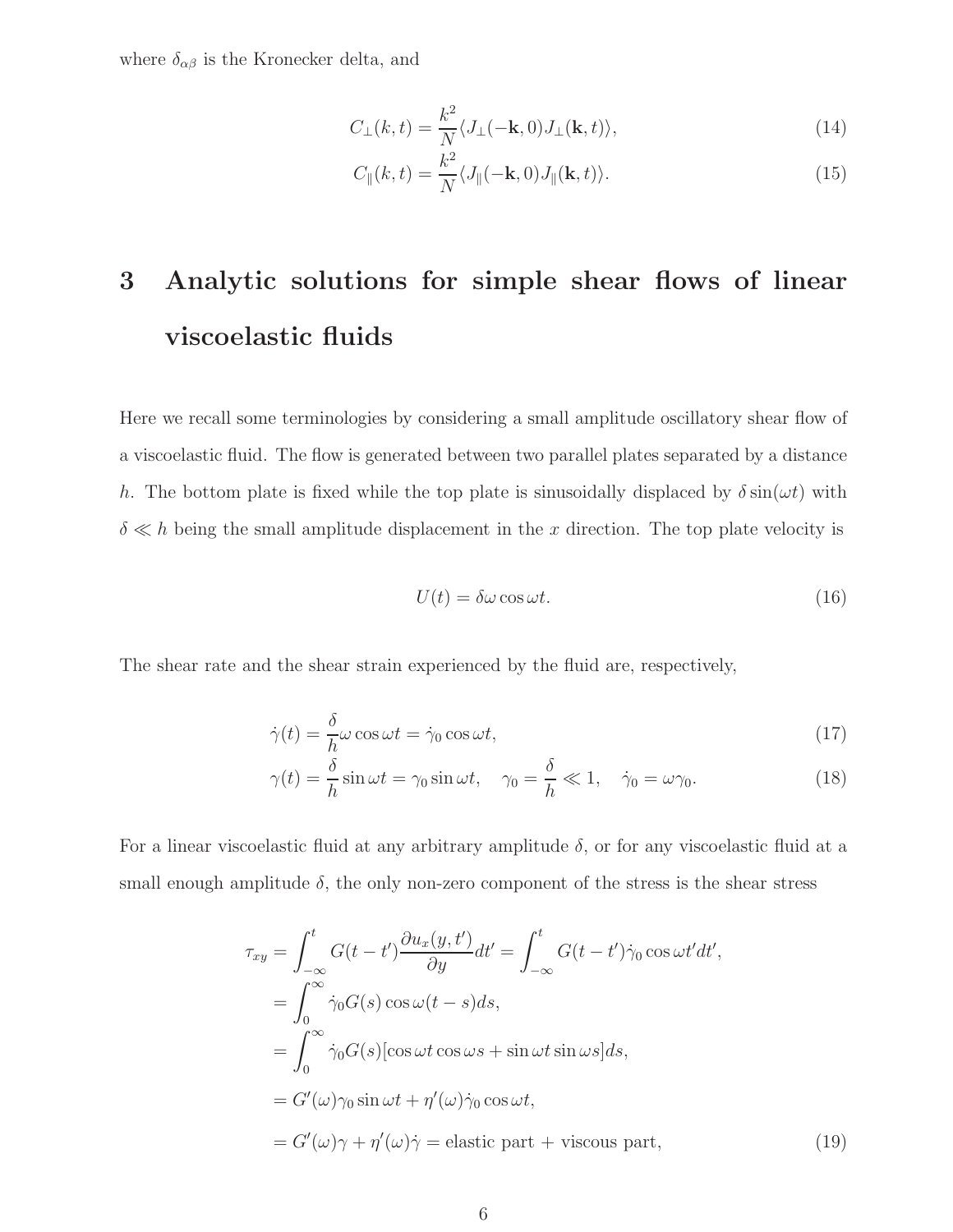where  $\delta_{\alpha\beta}$  is the Kronecker delta, and

$$
C_{\perp}(k,t) = \frac{k^2}{N} \langle J_{\perp}(-\mathbf{k},0) J_{\perp}(\mathbf{k},t) \rangle, \tag{14}
$$

$$
C_{\parallel}(k,t) = \frac{k^2}{N} \langle J_{\parallel}(-\mathbf{k},0)J_{\parallel}(\mathbf{k},t) \rangle.
$$
 (15)

# 3 Analytic solutions for simple shear flows of linear viscoelastic fluids

Here we recall some terminologies by considering a small amplitude oscillatory shear flow of a viscoelastic fluid. The flow is generated between two parallel plates separated by a distance h. The bottom plate is fixed while the top plate is sinusoidally displaced by  $\delta \sin(\omega t)$  with  $\delta \ll h$  being the small amplitude displacement in the x direction. The top plate velocity is

$$
U(t) = \delta\omega\cos\omega t. \tag{16}
$$

The shear rate and the shear strain experienced by the fluid are, respectively,

$$
\dot{\gamma}(t) = \frac{\delta}{h}\omega\cos\omega t = \dot{\gamma}_0\cos\omega t,\tag{17}
$$

$$
\gamma(t) = \frac{\delta}{h} \sin \omega t = \gamma_0 \sin \omega t, \quad \gamma_0 = \frac{\delta}{h} \ll 1, \quad \dot{\gamma}_0 = \omega \gamma_0. \tag{18}
$$

For a linear viscoelastic fluid at any arbitrary amplitude  $\delta$ , or for any viscoelastic fluid at a small enough amplitude  $\delta$ , the only non-zero component of the stress is the shear stress

$$
\tau_{xy} = \int_{-\infty}^{t} G(t - t') \frac{\partial u_x(y, t')}{\partial y} dt' = \int_{-\infty}^{t} G(t - t') \dot{\gamma}_0 \cos \omega t' dt',
$$
  
\n
$$
= \int_{0}^{\infty} \dot{\gamma}_0 G(s) \cos \omega (t - s) ds,
$$
  
\n
$$
= \int_{0}^{\infty} \dot{\gamma}_0 G(s) [\cos \omega t \cos \omega s + \sin \omega t \sin \omega s] ds,
$$
  
\n
$$
= G'(\omega) \gamma_0 \sin \omega t + \eta'(\omega) \dot{\gamma}_0 \cos \omega t,
$$
  
\n
$$
= G'(\omega) \gamma + \eta'(\omega) \dot{\gamma} = \text{elastic part} + \text{viscous part},
$$
\n(19)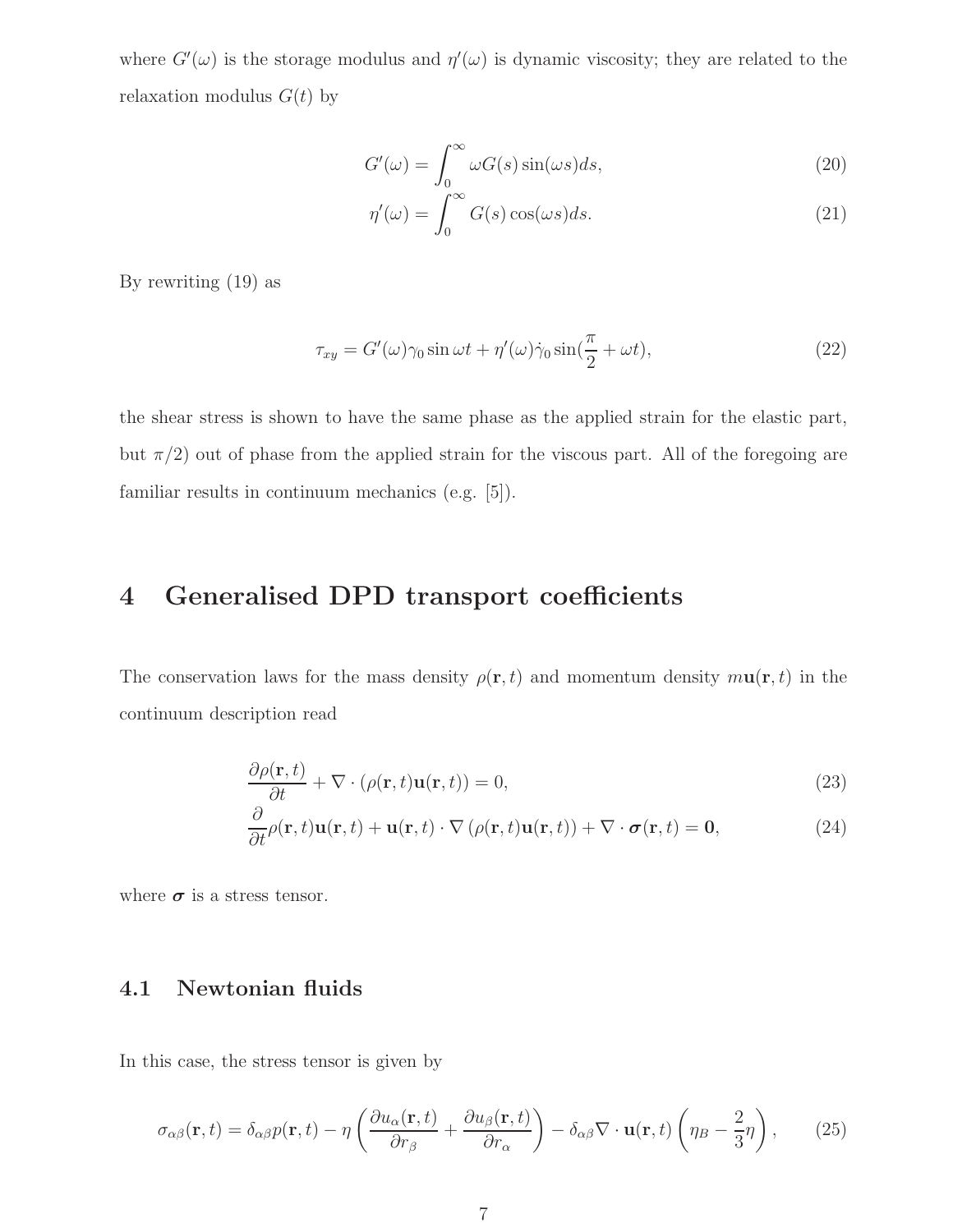where  $G'(\omega)$  is the storage modulus and  $\eta'(\omega)$  is dynamic viscosity; they are related to the relaxation modulus  $G(t)$  by

$$
G'(\omega) = \int_0^\infty \omega G(s) \sin(\omega s) ds,
$$
\n(20)

$$
\eta'(\omega) = \int_0^\infty G(s) \cos(\omega s) ds.
$$
\n(21)

By rewriting (19) as

$$
\tau_{xy} = G'(\omega)\gamma_0 \sin \omega t + \eta'(\omega)\dot{\gamma}_0 \sin(\frac{\pi}{2} + \omega t), \qquad (22)
$$

the shear stress is shown to have the same phase as the applied strain for the elastic part, but  $\pi/2$ ) out of phase from the applied strain for the viscous part. All of the foregoing are familiar results in continuum mechanics (e.g. [5]).

## 4 Generalised DPD transport coefficients

The conservation laws for the mass density  $\rho(\mathbf{r},t)$  and momentum density  $m\mathbf{u}(\mathbf{r},t)$  in the continuum description read

$$
\frac{\partial \rho(\mathbf{r},t)}{\partial t} + \nabla \cdot (\rho(\mathbf{r},t)\mathbf{u}(\mathbf{r},t)) = 0,\tag{23}
$$

$$
\frac{\partial}{\partial t}\rho(\mathbf{r},t)\mathbf{u}(\mathbf{r},t) + \mathbf{u}(\mathbf{r},t) \cdot \nabla \left( \rho(\mathbf{r},t)\mathbf{u}(\mathbf{r},t) \right) + \nabla \cdot \boldsymbol{\sigma}(\mathbf{r},t) = \mathbf{0},\tag{24}
$$

where  $\sigma$  is a stress tensor.

#### 4.1 Newtonian fluids

In this case, the stress tensor is given by

$$
\sigma_{\alpha\beta}(\mathbf{r},t) = \delta_{\alpha\beta}p(\mathbf{r},t) - \eta \left(\frac{\partial u_{\alpha}(\mathbf{r},t)}{\partial r_{\beta}} + \frac{\partial u_{\beta}(\mathbf{r},t)}{\partial r_{\alpha}}\right) - \delta_{\alpha\beta}\nabla \cdot \mathbf{u}(\mathbf{r},t) \left(\eta_{B} - \frac{2}{3}\eta\right),\tag{25}
$$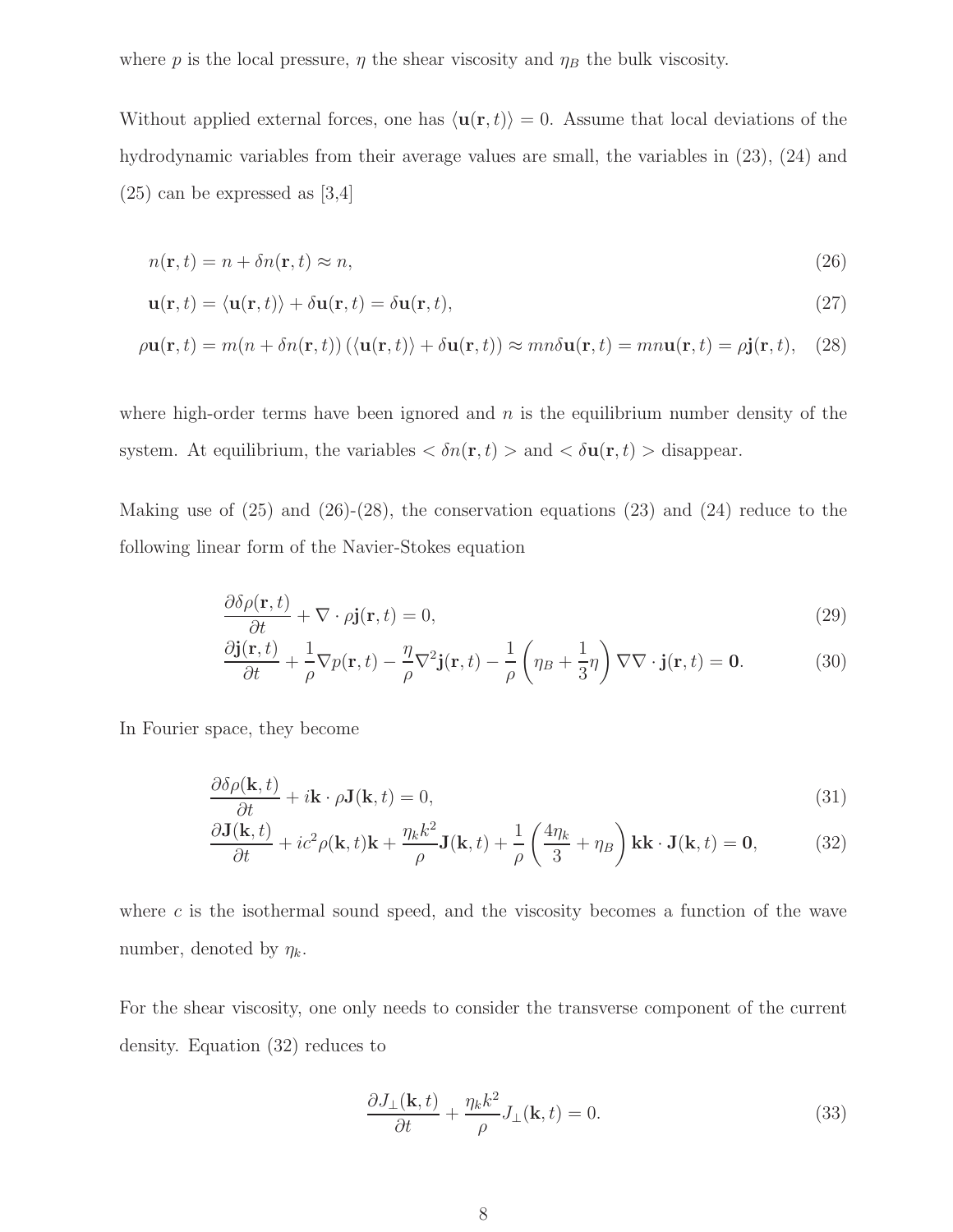where p is the local pressure,  $\eta$  the shear viscosity and  $\eta_B$  the bulk viscosity.

Without applied external forces, one has  $\langle \mathbf{u}(\mathbf{r}, t) \rangle = 0$ . Assume that local deviations of the hydrodynamic variables from their average values are small, the variables in (23), (24) and  $(25)$  can be expressed as [3,4]

$$
n(\mathbf{r},t) = n + \delta n(\mathbf{r},t) \approx n,\tag{26}
$$

$$
\mathbf{u}(\mathbf{r},t) = \langle \mathbf{u}(\mathbf{r},t) \rangle + \delta \mathbf{u}(\mathbf{r},t) = \delta \mathbf{u}(\mathbf{r},t), \qquad (27)
$$

$$
\rho \mathbf{u}(\mathbf{r},t) = m(n + \delta n(\mathbf{r},t)) \left( \langle \mathbf{u}(\mathbf{r},t) \rangle + \delta \mathbf{u}(\mathbf{r},t) \right) \approx mn \delta \mathbf{u}(\mathbf{r},t) = mn \mathbf{u}(\mathbf{r},t) = \rho \mathbf{j}(\mathbf{r},t), \quad (28)
$$

where high-order terms have been ignored and  $n$  is the equilibrium number density of the system. At equilibrium, the variables  $\langle \delta n(\mathbf{r}, t) \rangle$  and  $\langle \delta \mathbf{u}(\mathbf{r}, t) \rangle$  disappear.

Making use of  $(25)$  and  $(26)-(28)$ , the conservation equations  $(23)$  and  $(24)$  reduce to the following linear form of the Navier-Stokes equation

$$
\frac{\partial \delta \rho(\mathbf{r}, t)}{\partial t} + \nabla \cdot \rho \mathbf{j}(\mathbf{r}, t) = 0,\tag{29}
$$

$$
\frac{\partial \mathbf{j}(\mathbf{r},t)}{\partial t} + \frac{1}{\rho} \nabla p(\mathbf{r},t) - \frac{\eta}{\rho} \nabla^2 \mathbf{j}(\mathbf{r},t) - \frac{1}{\rho} \left( \eta_B + \frac{1}{3} \eta \right) \nabla \nabla \cdot \mathbf{j}(\mathbf{r},t) = \mathbf{0}.
$$
 (30)

In Fourier space, they become

$$
\frac{\partial \delta \rho(\mathbf{k}, t)}{\partial t} + i\mathbf{k} \cdot \rho \mathbf{J}(\mathbf{k}, t) = 0, \tag{31}
$$

$$
\frac{\partial \mathbf{J}(\mathbf{k},t)}{\partial t} + ic^2 \rho(\mathbf{k},t)\mathbf{k} + \frac{\eta_k k^2}{\rho} \mathbf{J}(\mathbf{k},t) + \frac{1}{\rho} \left(\frac{4\eta_k}{3} + \eta_B\right) \mathbf{k}\mathbf{k} \cdot \mathbf{J}(\mathbf{k},t) = \mathbf{0},\tag{32}
$$

where  $c$  is the isothermal sound speed, and the viscosity becomes a function of the wave number, denoted by  $\eta_k$ .

For the shear viscosity, one only needs to consider the transverse component of the current density. Equation (32) reduces to

$$
\frac{\partial J_{\perp}(\mathbf{k},t)}{\partial t} + \frac{\eta_k k^2}{\rho} J_{\perp}(\mathbf{k},t) = 0.
$$
\n(33)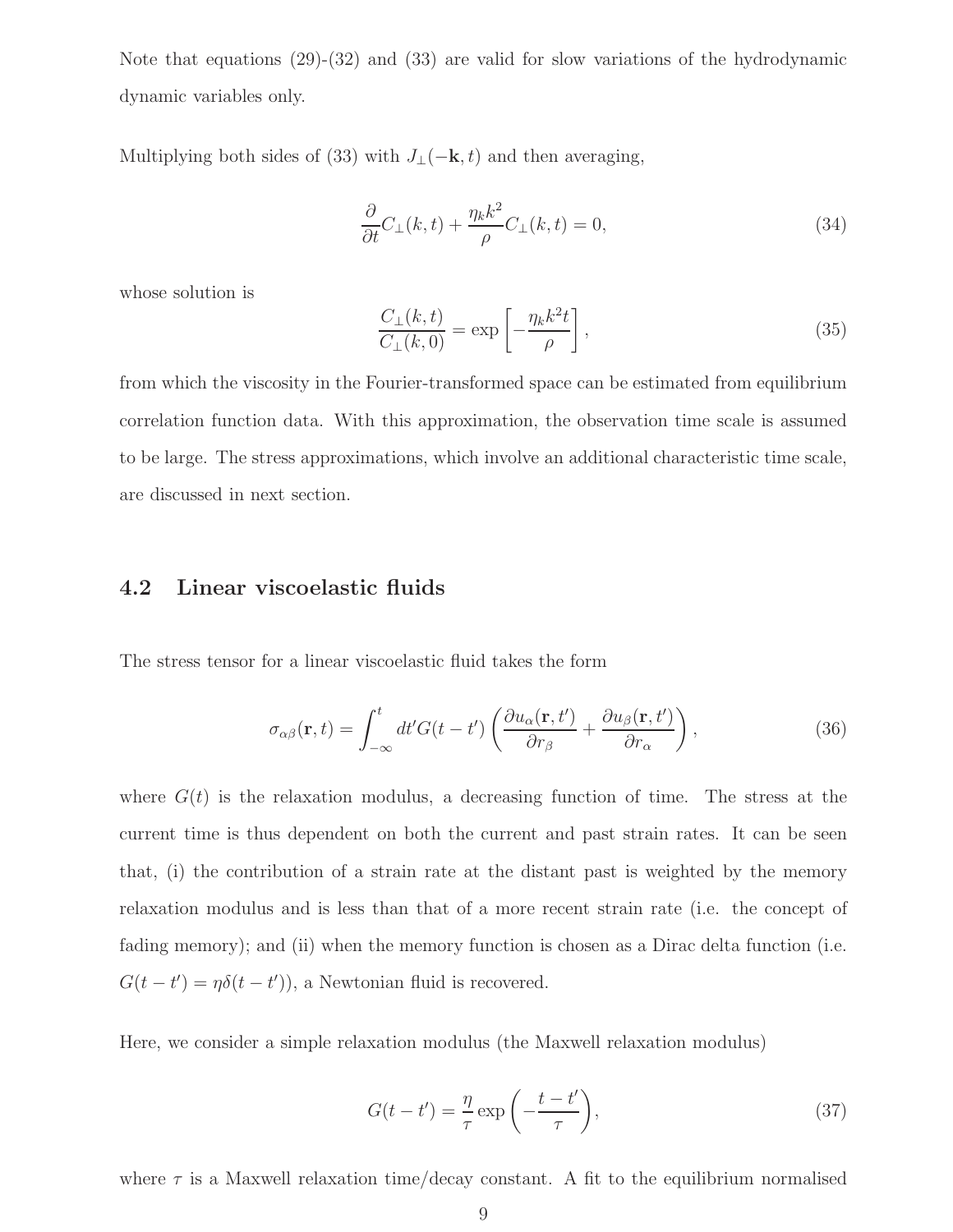Note that equations (29)-(32) and (33) are valid for slow variations of the hydrodynamic dynamic variables only.

Multiplying both sides of (33) with  $J_{\perp}(-\mathbf{k}, t)$  and then averaging,

$$
\frac{\partial}{\partial t}C_{\perp}(k,t) + \frac{\eta_k k^2}{\rho}C_{\perp}(k,t) = 0,\tag{34}
$$

whose solution is

$$
\frac{C_{\perp}(k,t)}{C_{\perp}(k,0)} = \exp\left[-\frac{\eta_k k^2 t}{\rho}\right],\tag{35}
$$

from which the viscosity in the Fourier-transformed space can be estimated from equilibrium correlation function data. With this approximation, the observation time scale is assumed to be large. The stress approximations, which involve an additional characteristic time scale, are discussed in next section.

#### 4.2 Linear viscoelastic fluids

The stress tensor for a linear viscoelastic fluid takes the form

$$
\sigma_{\alpha\beta}(\mathbf{r},t) = \int_{-\infty}^{t} dt' G(t-t') \left( \frac{\partial u_{\alpha}(\mathbf{r},t')}{\partial r_{\beta}} + \frac{\partial u_{\beta}(\mathbf{r},t')}{\partial r_{\alpha}} \right), \tag{36}
$$

where  $G(t)$  is the relaxation modulus, a decreasing function of time. The stress at the current time is thus dependent on both the current and past strain rates. It can be seen that, (i) the contribution of a strain rate at the distant past is weighted by the memory relaxation modulus and is less than that of a more recent strain rate (i.e. the concept of fading memory); and (ii) when the memory function is chosen as a Dirac delta function (i.e.  $G(t - t') = \eta \delta(t - t')$ , a Newtonian fluid is recovered.

Here, we consider a simple relaxation modulus (the Maxwell relaxation modulus)

$$
G(t - t') = \frac{\eta}{\tau} \exp\left(-\frac{t - t'}{\tau}\right),\tag{37}
$$

where  $\tau$  is a Maxwell relaxation time/decay constant. A fit to the equilibrium normalised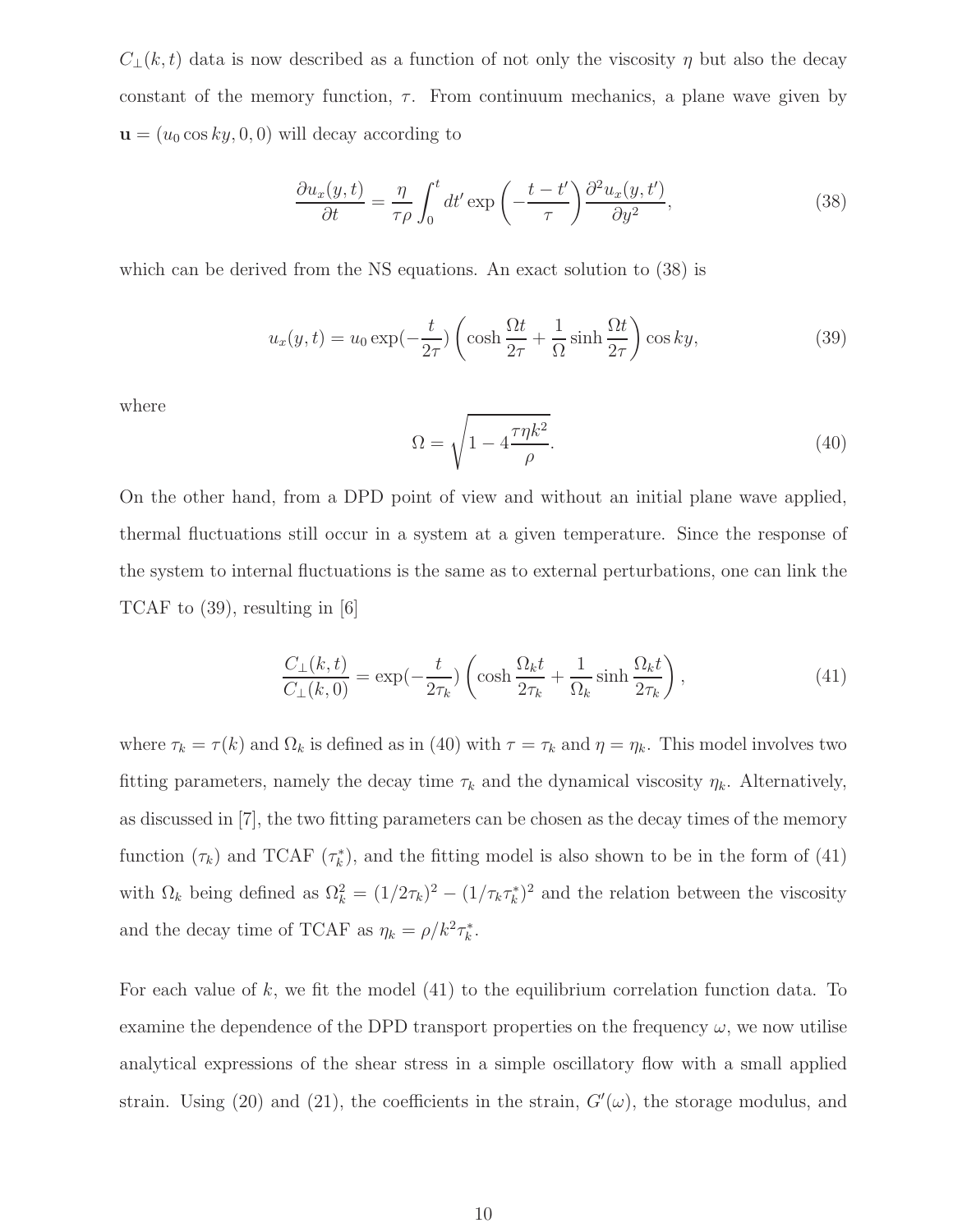$C_{\perp}(k, t)$  data is now described as a function of not only the viscosity  $\eta$  but also the decay constant of the memory function,  $\tau$ . From continuum mechanics, a plane wave given by  $\mathbf{u} = (u_0 \cos ky, 0, 0)$  will decay according to

$$
\frac{\partial u_x(y,t)}{\partial t} = \frac{\eta}{\tau \rho} \int_0^t dt' \exp\left(-\frac{t-t'}{\tau}\right) \frac{\partial^2 u_x(y,t')}{\partial y^2},\tag{38}
$$

which can be derived from the NS equations. An exact solution to (38) is

$$
u_x(y,t) = u_0 \exp(-\frac{t}{2\tau}) \left(\cosh\frac{\Omega t}{2\tau} + \frac{1}{\Omega}\sinh\frac{\Omega t}{2\tau}\right)\cos ky,\tag{39}
$$

where

$$
\Omega = \sqrt{1 - 4\frac{\tau \eta k^2}{\rho}}.\tag{40}
$$

On the other hand, from a DPD point of view and without an initial plane wave applied, thermal fluctuations still occur in a system at a given temperature. Since the response of the system to internal fluctuations is the same as to external perturbations, one can link the TCAF to (39), resulting in [6]

$$
\frac{C_{\perp}(k,t)}{C_{\perp}(k,0)} = \exp(-\frac{t}{2\tau_k}) \left( \cosh \frac{\Omega_k t}{2\tau_k} + \frac{1}{\Omega_k} \sinh \frac{\Omega_k t}{2\tau_k} \right),\tag{41}
$$

where  $\tau_k = \tau(k)$  and  $\Omega_k$  is defined as in (40) with  $\tau = \tau_k$  and  $\eta = \eta_k$ . This model involves two fitting parameters, namely the decay time  $\tau_k$  and the dynamical viscosity  $\eta_k$ . Alternatively, as discussed in [7], the two fitting parameters can be chosen as the decay times of the memory function  $(\tau_k)$  and TCAF  $(\tau_k^*)$ , and the fitting model is also shown to be in the form of (41) with  $\Omega_k$  being defined as  $\Omega_k^2 = (1/2\tau_k)^2 - (1/\tau_k \tau_k^*)^2$  and the relation between the viscosity and the decay time of TCAF as  $\eta_k = \rho/k^2 \tau_k^*$ .

For each value of  $k$ , we fit the model  $(41)$  to the equilibrium correlation function data. To examine the dependence of the DPD transport properties on the frequency  $\omega$ , we now utilise analytical expressions of the shear stress in a simple oscillatory flow with a small applied strain. Using (20) and (21), the coefficients in the strain,  $G'(\omega)$ , the storage modulus, and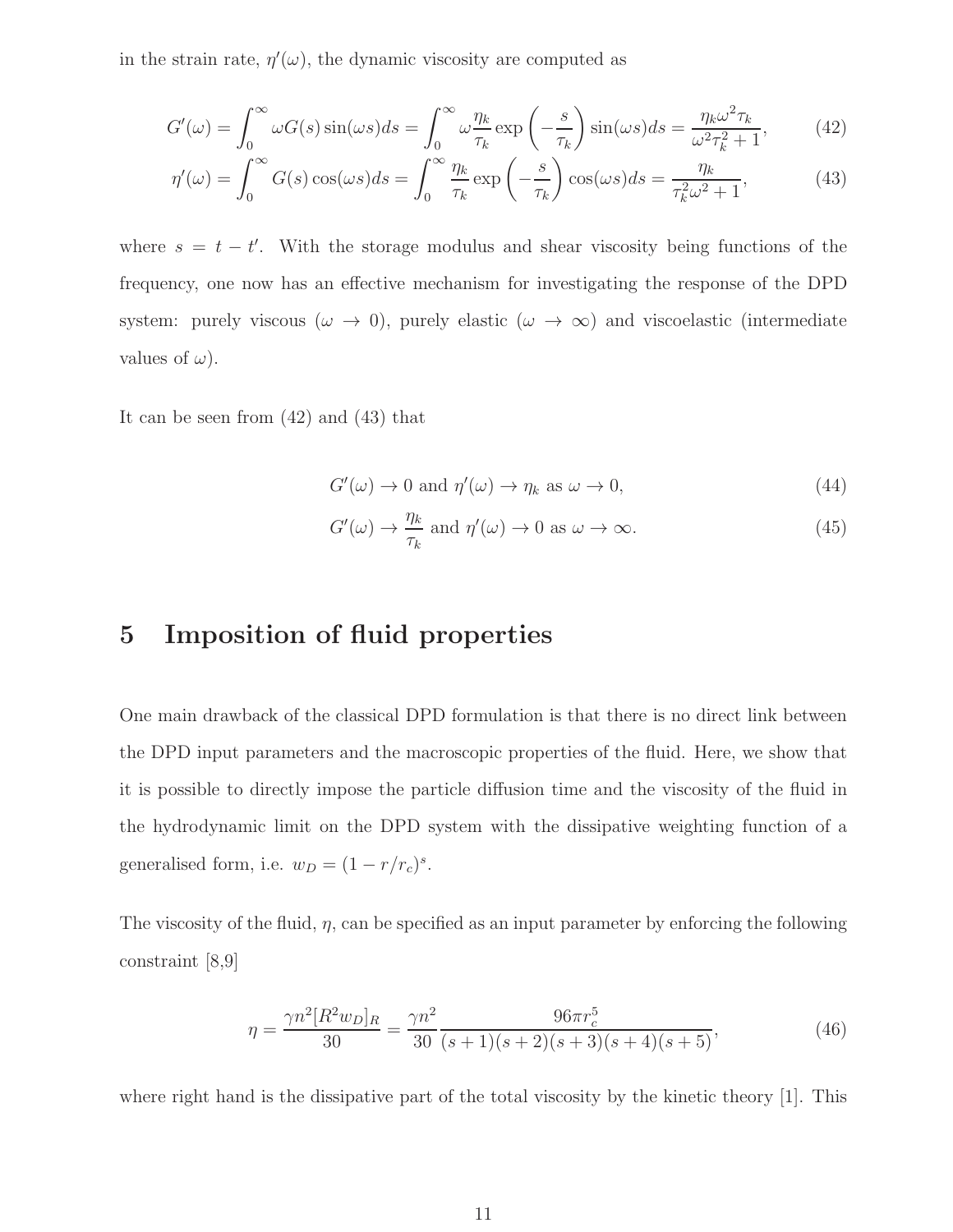in the strain rate,  $\eta'(\omega)$ , the dynamic viscosity are computed as

$$
G'(\omega) = \int_0^\infty \omega G(s) \sin(\omega s) ds = \int_0^\infty \omega \frac{\eta_k}{\tau_k} \exp\left(-\frac{s}{\tau_k}\right) \sin(\omega s) ds = \frac{\eta_k \omega^2 \tau_k}{\omega^2 \tau_k^2 + 1},\tag{42}
$$

$$
\eta'(\omega) = \int_0^\infty G(s) \cos(\omega s) ds = \int_0^\infty \frac{\eta_k}{\tau_k} \exp\left(-\frac{s}{\tau_k}\right) \cos(\omega s) ds = \frac{\eta_k}{\tau_k^2 \omega^2 + 1},\tag{43}
$$

where  $s = t - t'$ . With the storage modulus and shear viscosity being functions of the frequency, one now has an effective mechanism for investigating the response of the DPD system: purely viscous ( $\omega \to 0$ ), purely elastic ( $\omega \to \infty$ ) and viscoelastic (intermediate values of  $\omega$ ).

It can be seen from (42) and (43) that

$$
G'(\omega) \to 0 \text{ and } \eta'(\omega) \to \eta_k \text{ as } \omega \to 0,
$$
\n(44)

$$
G'(\omega) \to \frac{\eta_k}{\tau_k} \text{ and } \eta'(\omega) \to 0 \text{ as } \omega \to \infty.
$$
 (45)

## 5 Imposition of fluid properties

One main drawback of the classical DPD formulation is that there is no direct link between the DPD input parameters and the macroscopic properties of the fluid. Here, we show that it is possible to directly impose the particle diffusion time and the viscosity of the fluid in the hydrodynamic limit on the DPD system with the dissipative weighting function of a generalised form, i.e.  $w_D = (1 - r/r_c)^s$ .

The viscosity of the fluid,  $\eta$ , can be specified as an input parameter by enforcing the following constraint [8,9]

$$
\eta = \frac{\gamma n^2 [R^2 w_D]_R}{30} = \frac{\gamma n^2}{30} \frac{96\pi r_c^5}{(s+1)(s+2)(s+3)(s+4)(s+5)},\tag{46}
$$

where right hand is the dissipative part of the total viscosity by the kinetic theory [1]. This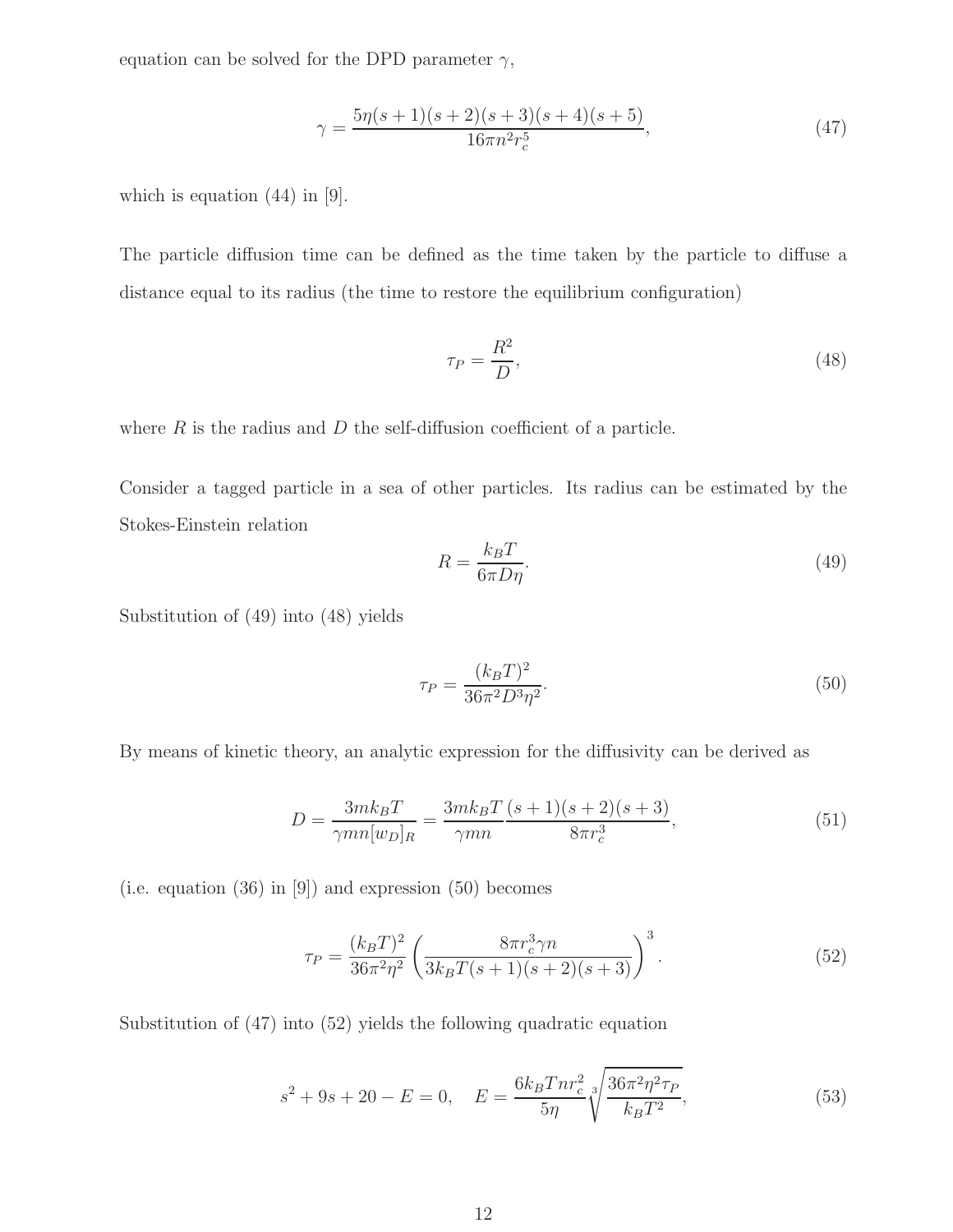equation can be solved for the DPD parameter  $\gamma$ ,

$$
\gamma = \frac{5\eta(s+1)(s+2)(s+3)(s+4)(s+5)}{16\pi n^2 r_c^5},\tag{47}
$$

which is equation (44) in [9].

The particle diffusion time can be defined as the time taken by the particle to diffuse a distance equal to its radius (the time to restore the equilibrium configuration)

$$
\tau_P = \frac{R^2}{D},\tag{48}
$$

where  $R$  is the radius and  $D$  the self-diffusion coefficient of a particle.

Consider a tagged particle in a sea of other particles. Its radius can be estimated by the Stokes-Einstein relation

$$
R = \frac{k_B T}{6\pi D \eta}.\tag{49}
$$

Substitution of (49) into (48) yields

$$
\tau_P = \frac{(k_B T)^2}{36\pi^2 D^3 \eta^2}.
$$
\n(50)

By means of kinetic theory, an analytic expression for the diffusivity can be derived as

$$
D = \frac{3mk_B T}{\gamma mn[w_D]_R} = \frac{3mk_B T}{\gamma mn} \frac{(s+1)(s+2)(s+3)}{8\pi r_c^3},\tag{51}
$$

(i.e. equation (36) in [9]) and expression (50) becomes

$$
\tau_P = \frac{(k_B T)^2}{36\pi^2 \eta^2} \left( \frac{8\pi r_c^3 \gamma n}{3k_B T(s+1)(s+2)(s+3)} \right)^3.
$$
\n(52)

Substitution of (47) into (52) yields the following quadratic equation

$$
s^2 + 9s + 20 - E = 0, \quad E = \frac{6k_B T n r_c^2}{5\eta} \sqrt[3]{\frac{36\pi^2 \eta^2 \tau_P}{k_B T^2}},\tag{53}
$$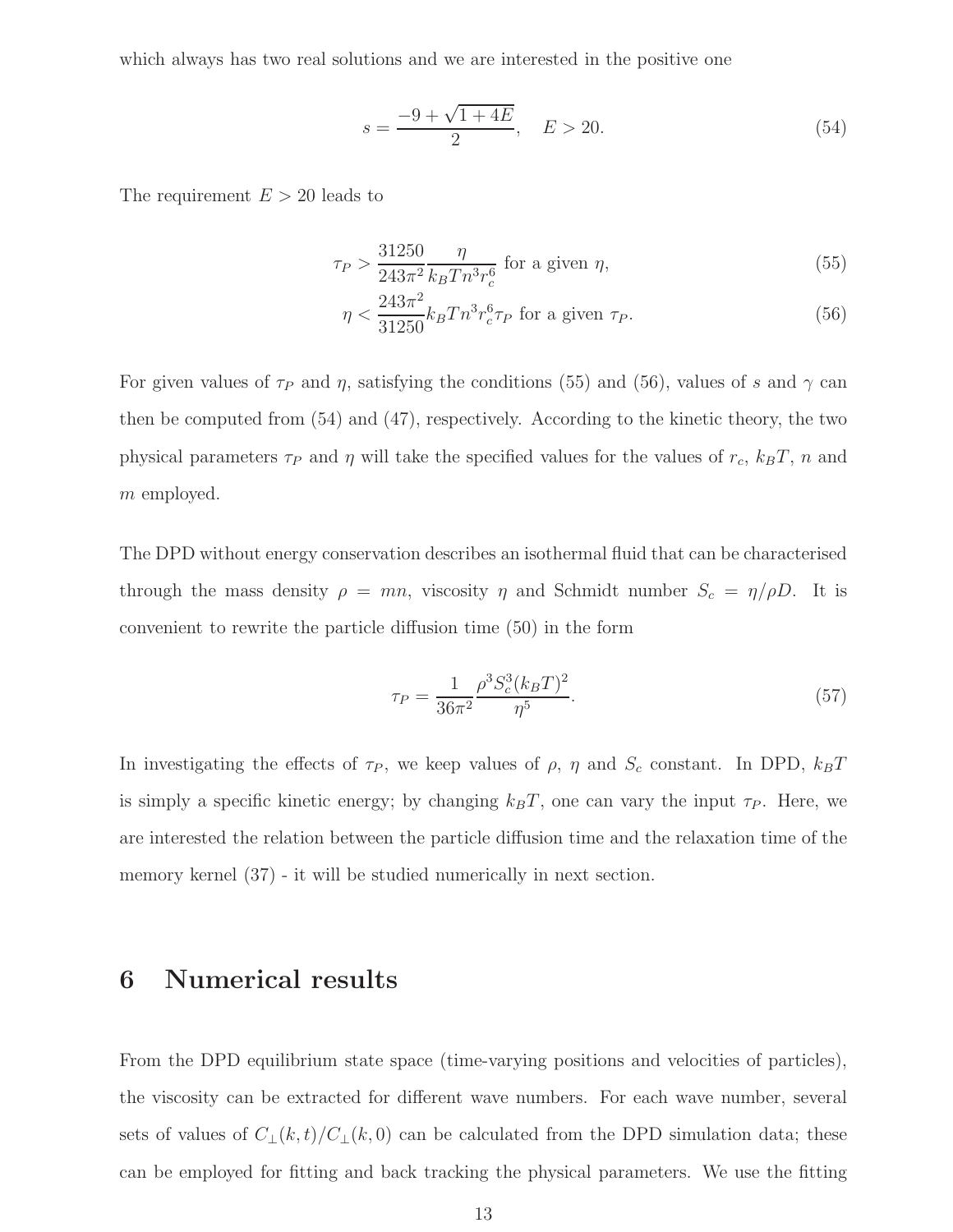which always has two real solutions and we are interested in the positive one

$$
s = \frac{-9 + \sqrt{1 + 4E}}{2}, \quad E > 20.
$$
 (54)

The requirement  $E > 20$  leads to

$$
\tau_P > \frac{31250}{243\pi^2} \frac{\eta}{k_B T n^3 r_c^6} \text{ for a given } \eta,
$$
\n
$$
(55)
$$

$$
\eta < \frac{243\pi^2}{31250} k_B T n^3 r_c^6 \tau_P \text{ for a given } \tau_P. \tag{56}
$$

For given values of  $\tau_P$  and  $\eta$ , satisfying the conditions (55) and (56), values of s and  $\gamma$  can then be computed from (54) and (47), respectively. According to the kinetic theory, the two physical parameters  $\tau_P$  and  $\eta$  will take the specified values for the values of  $r_c$ ,  $k_BT$ , n and m employed.

The DPD without energy conservation describes an isothermal fluid that can be characterised through the mass density  $\rho = mn$ , viscosity  $\eta$  and Schmidt number  $S_c = \eta/\rho D$ . It is convenient to rewrite the particle diffusion time (50) in the form

$$
\tau_P = \frac{1}{36\pi^2} \frac{\rho^3 S_c^3 (k_B T)^2}{\eta^5}.
$$
\n(57)

In investigating the effects of  $\tau_P$ , we keep values of  $\rho$ ,  $\eta$  and  $S_c$  constant. In DPD,  $k_BT$ is simply a specific kinetic energy; by changing  $k_BT$ , one can vary the input  $\tau_P$ . Here, we are interested the relation between the particle diffusion time and the relaxation time of the memory kernel (37) - it will be studied numerically in next section.

## 6 Numerical results

From the DPD equilibrium state space (time-varying positions and velocities of particles), the viscosity can be extracted for different wave numbers. For each wave number, several sets of values of  $C_{\perp}(k,t)/C_{\perp}(k,0)$  can be calculated from the DPD simulation data; these can be employed for fitting and back tracking the physical parameters. We use the fitting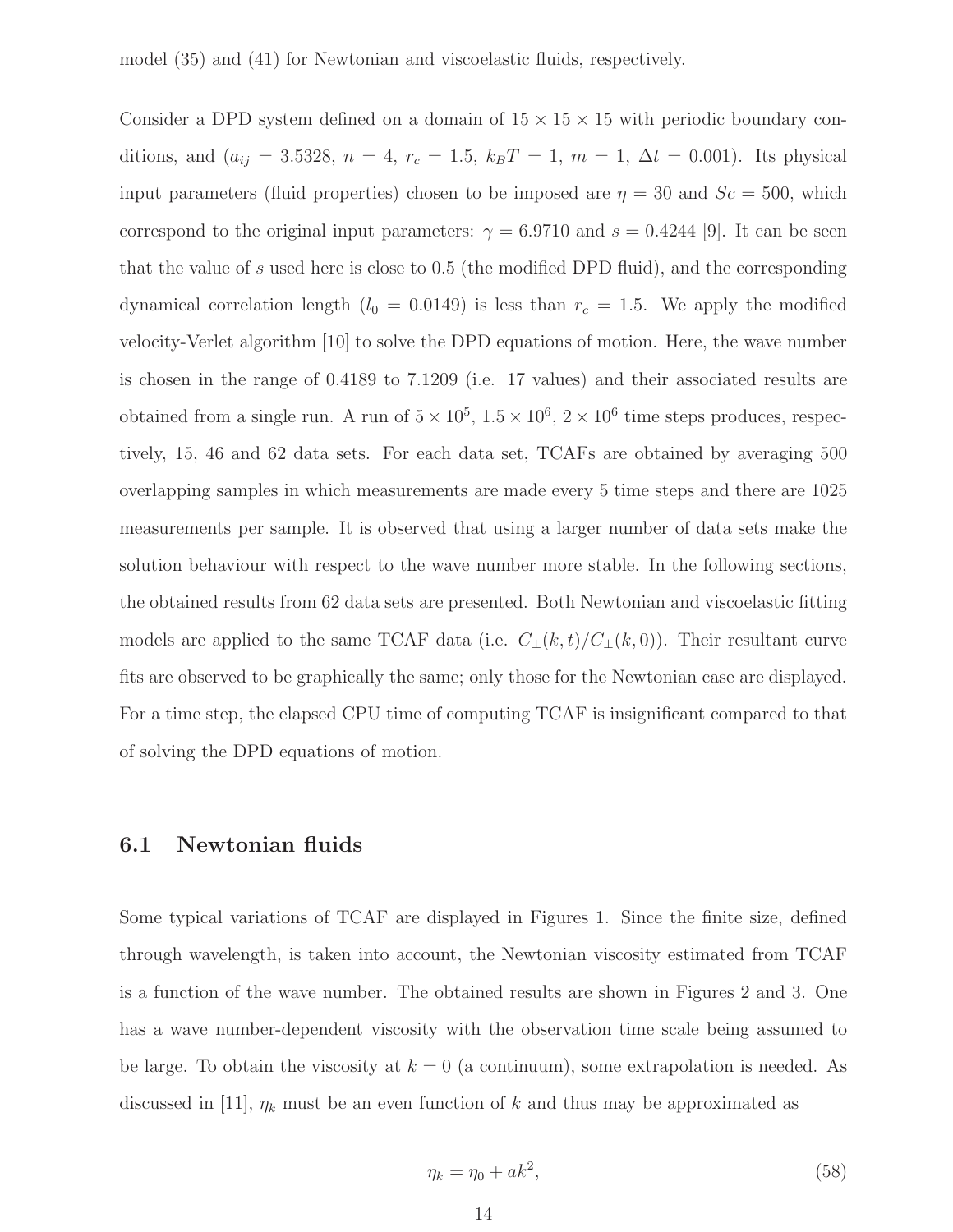model (35) and (41) for Newtonian and viscoelastic fluids, respectively.

Consider a DPD system defined on a domain of  $15 \times 15 \times 15$  with periodic boundary conditions, and  $(a_{ij} = 3.5328, n = 4, r_c = 1.5, k_BT = 1, m = 1, \Delta t = 0.001)$ . Its physical input parameters (fluid properties) chosen to be imposed are  $\eta = 30$  and  $Sc = 500$ , which correspond to the original input parameters:  $\gamma = 6.9710$  and  $s = 0.4244$  [9]. It can be seen that the value of s used here is close to 0.5 (the modified DPD fluid), and the corresponding dynamical correlation length ( $l_0 = 0.0149$ ) is less than  $r_c = 1.5$ . We apply the modified velocity-Verlet algorithm [10] to solve the DPD equations of motion. Here, the wave number is chosen in the range of 0.4189 to 7.1209 (i.e. 17 values) and their associated results are obtained from a single run. A run of  $5 \times 10^5$ ,  $1.5 \times 10^6$ ,  $2 \times 10^6$  time steps produces, respectively, 15, 46 and 62 data sets. For each data set, TCAFs are obtained by averaging 500 overlapping samples in which measurements are made every 5 time steps and there are 1025 measurements per sample. It is observed that using a larger number of data sets make the solution behaviour with respect to the wave number more stable. In the following sections, the obtained results from 62 data sets are presented. Both Newtonian and viscoelastic fitting models are applied to the same TCAF data (i.e.  $C_{\perp}(k,t)/C_{\perp}(k,0)$ ). Their resultant curve fits are observed to be graphically the same; only those for the Newtonian case are displayed. For a time step, the elapsed CPU time of computing TCAF is insignificant compared to that of solving the DPD equations of motion.

#### 6.1 Newtonian fluids

Some typical variations of TCAF are displayed in Figures 1. Since the finite size, defined through wavelength, is taken into account, the Newtonian viscosity estimated from TCAF is a function of the wave number. The obtained results are shown in Figures 2 and 3. One has a wave number-dependent viscosity with the observation time scale being assumed to be large. To obtain the viscosity at  $k = 0$  (a continuum), some extrapolation is needed. As discussed in [11],  $\eta_k$  must be an even function of k and thus may be approximated as

$$
\eta_k = \eta_0 + ak^2,\tag{58}
$$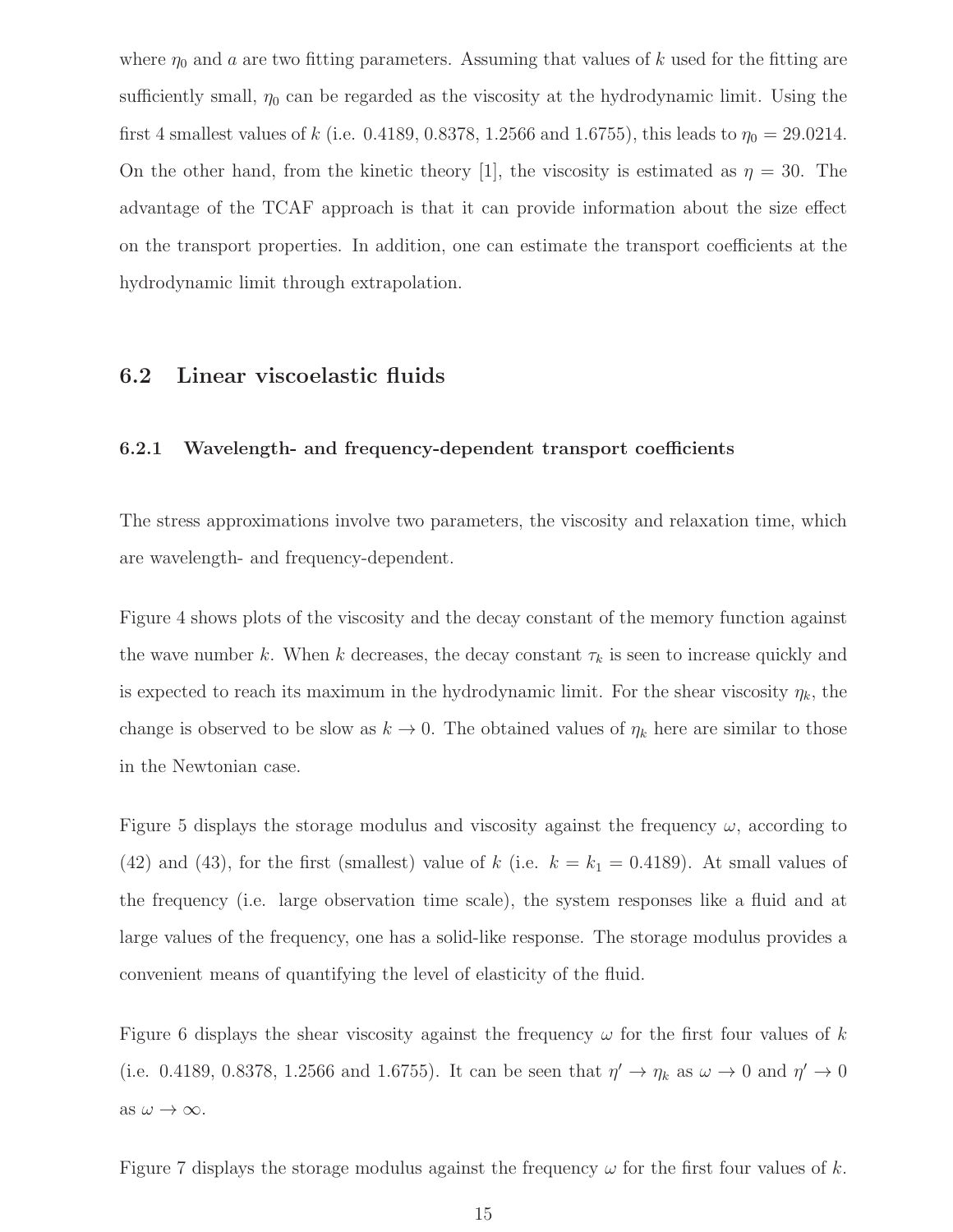where  $\eta_0$  and a are two fitting parameters. Assuming that values of k used for the fitting are sufficiently small,  $\eta_0$  can be regarded as the viscosity at the hydrodynamic limit. Using the first 4 smallest values of k (i.e. 0.4189, 0.8378, 1.2566 and 1.6755), this leads to  $\eta_0 = 29.0214$ . On the other hand, from the kinetic theory [1], the viscosity is estimated as  $\eta = 30$ . The advantage of the TCAF approach is that it can provide information about the size effect on the transport properties. In addition, one can estimate the transport coefficients at the hydrodynamic limit through extrapolation.

#### 6.2 Linear viscoelastic fluids

#### 6.2.1 Wavelength- and frequency-dependent transport coefficients

The stress approximations involve two parameters, the viscosity and relaxation time, which are wavelength- and frequency-dependent.

Figure 4 shows plots of the viscosity and the decay constant of the memory function against the wave number k. When k decreases, the decay constant  $\tau_k$  is seen to increase quickly and is expected to reach its maximum in the hydrodynamic limit. For the shear viscosity  $\eta_k$ , the change is observed to be slow as  $k \to 0$ . The obtained values of  $\eta_k$  here are similar to those in the Newtonian case.

Figure 5 displays the storage modulus and viscosity against the frequency  $\omega$ , according to (42) and (43), for the first (smallest) value of k (i.e.  $k = k_1 = 0.4189$ ). At small values of the frequency (i.e. large observation time scale), the system responses like a fluid and at large values of the frequency, one has a solid-like response. The storage modulus provides a convenient means of quantifying the level of elasticity of the fluid.

Figure 6 displays the shear viscosity against the frequency  $\omega$  for the first four values of k (i.e. 0.4189, 0.8378, 1.2566 and 1.6755). It can be seen that  $\eta' \to \eta_k$  as  $\omega \to 0$  and  $\eta' \to 0$ as  $\omega \to \infty$ .

Figure 7 displays the storage modulus against the frequency  $\omega$  for the first four values of k.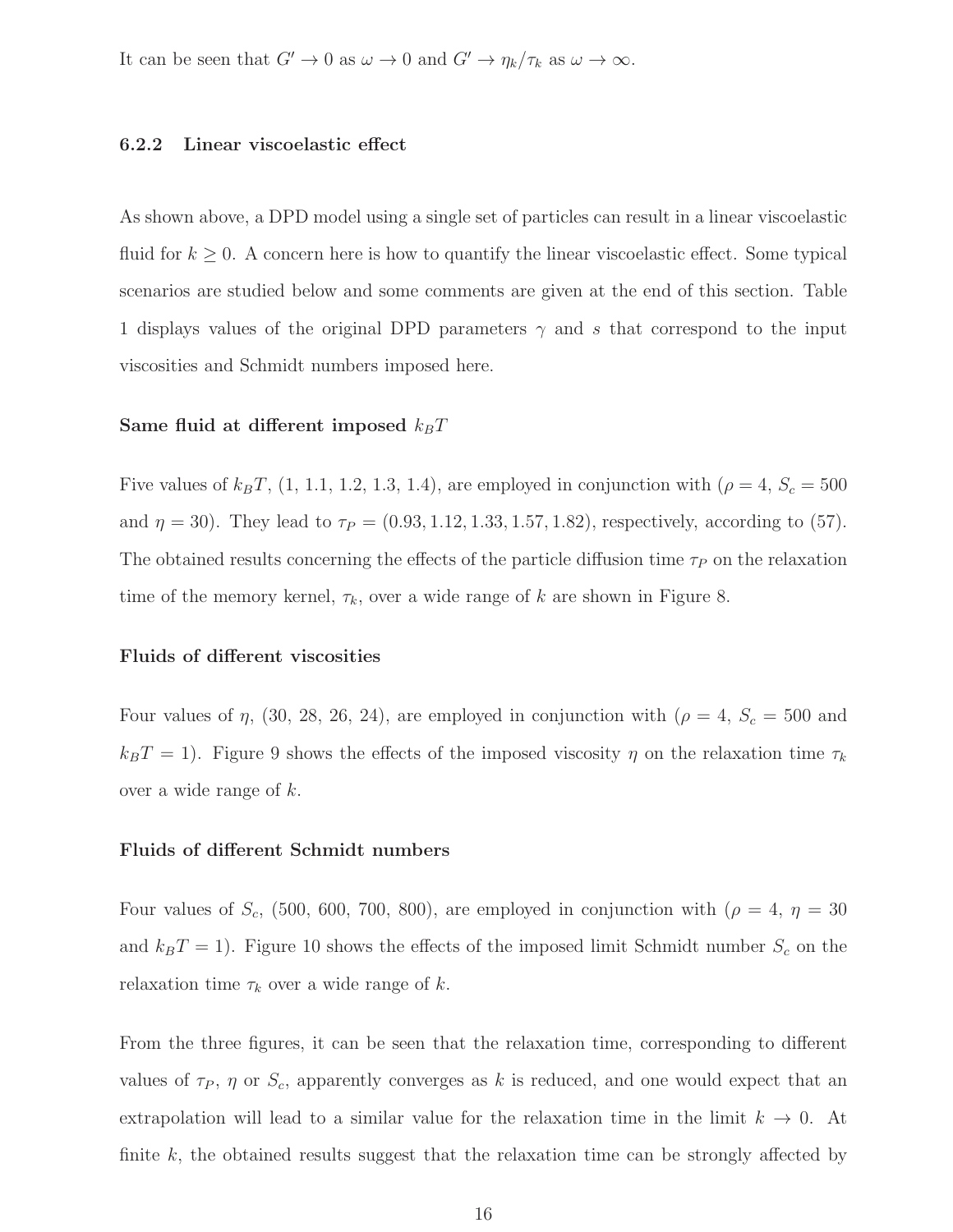It can be seen that  $G' \to 0$  as  $\omega \to 0$  and  $G' \to \eta_k/\tau_k$  as  $\omega \to \infty$ .

#### 6.2.2 Linear viscoelastic effect

As shown above, a DPD model using a single set of particles can result in a linear viscoelastic fluid for  $k \geq 0$ . A concern here is how to quantify the linear viscoelastic effect. Some typical scenarios are studied below and some comments are given at the end of this section. Table 1 displays values of the original DPD parameters  $\gamma$  and s that correspond to the input viscosities and Schmidt numbers imposed here.

#### Same fluid at different imposed  $k_BT$

Five values of  $k_BT$ , (1, 1.1, 1.2, 1.3, 1.4), are employed in conjunction with ( $\rho = 4$ ,  $S_c = 500$ and  $\eta = 30$ ). They lead to  $\tau_P = (0.93, 1.12, 1.33, 1.57, 1.82)$ , respectively, according to (57). The obtained results concerning the effects of the particle diffusion time  $\tau_P$  on the relaxation time of the memory kernel,  $\tau_k$ , over a wide range of k are shown in Figure 8.

#### Fluids of different viscosities

Four values of  $\eta$ , (30, 28, 26, 24), are employed in conjunction with ( $\rho = 4$ ,  $S_c = 500$  and  $k_BT = 1$ ). Figure 9 shows the effects of the imposed viscosity  $\eta$  on the relaxation time  $\tau_k$ over a wide range of  $k$ .

#### Fluids of different Schmidt numbers

Four values of  $S_c$ , (500, 600, 700, 800), are employed in conjunction with ( $\rho = 4$ ,  $\eta = 30$ and  $k_BT = 1$ ). Figure 10 shows the effects of the imposed limit Schmidt number  $S_c$  on the relaxation time  $\tau_k$  over a wide range of k.

From the three figures, it can be seen that the relaxation time, corresponding to different values of  $\tau_P$ ,  $\eta$  or  $S_c$ , apparently converges as k is reduced, and one would expect that an extrapolation will lead to a similar value for the relaxation time in the limit  $k \to 0$ . At finite  $k$ , the obtained results suggest that the relaxation time can be strongly affected by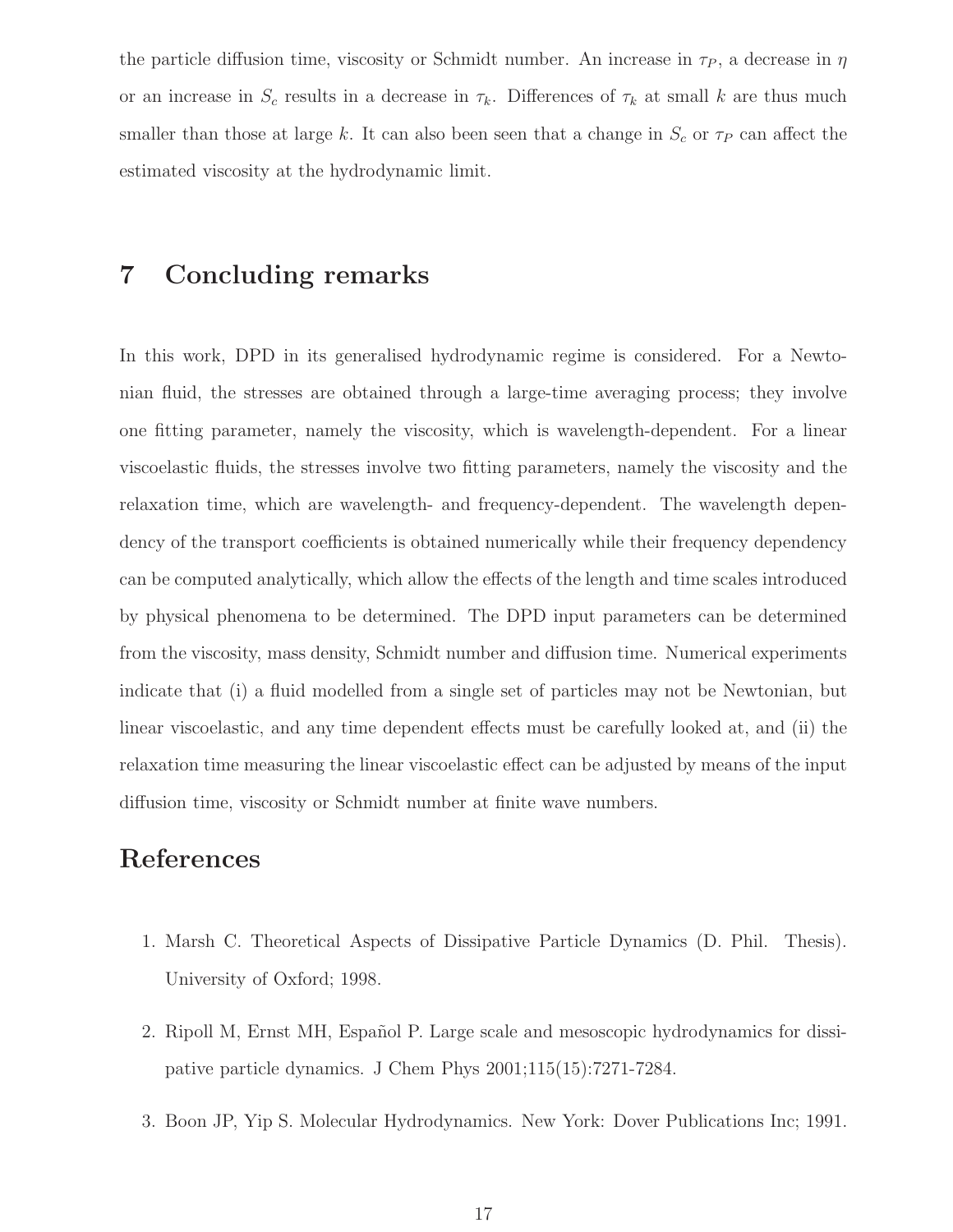the particle diffusion time, viscosity or Schmidt number. An increase in  $\tau_P$ , a decrease in  $\eta$ or an increase in  $S_c$  results in a decrease in  $\tau_k$ . Differences of  $\tau_k$  at small k are thus much smaller than those at large k. It can also been seen that a change in  $S_c$  or  $\tau_P$  can affect the estimated viscosity at the hydrodynamic limit.

## 7 Concluding remarks

In this work, DPD in its generalised hydrodynamic regime is considered. For a Newtonian fluid, the stresses are obtained through a large-time averaging process; they involve one fitting parameter, namely the viscosity, which is wavelength-dependent. For a linear viscoelastic fluids, the stresses involve two fitting parameters, namely the viscosity and the relaxation time, which are wavelength- and frequency-dependent. The wavelength dependency of the transport coefficients is obtained numerically while their frequency dependency can be computed analytically, which allow the effects of the length and time scales introduced by physical phenomena to be determined. The DPD input parameters can be determined from the viscosity, mass density, Schmidt number and diffusion time. Numerical experiments indicate that (i) a fluid modelled from a single set of particles may not be Newtonian, but linear viscoelastic, and any time dependent effects must be carefully looked at, and (ii) the relaxation time measuring the linear viscoelastic effect can be adjusted by means of the input diffusion time, viscosity or Schmidt number at finite wave numbers.

## References

- 1. Marsh C. Theoretical Aspects of Dissipative Particle Dynamics (D. Phil. Thesis). University of Oxford; 1998.
- 2. Ripoll M, Ernst MH, Español P. Large scale and mesoscopic hydrodynamics for dissipative particle dynamics. J Chem Phys 2001;115(15):7271-7284.
- 3. Boon JP, Yip S. Molecular Hydrodynamics. New York: Dover Publications Inc; 1991.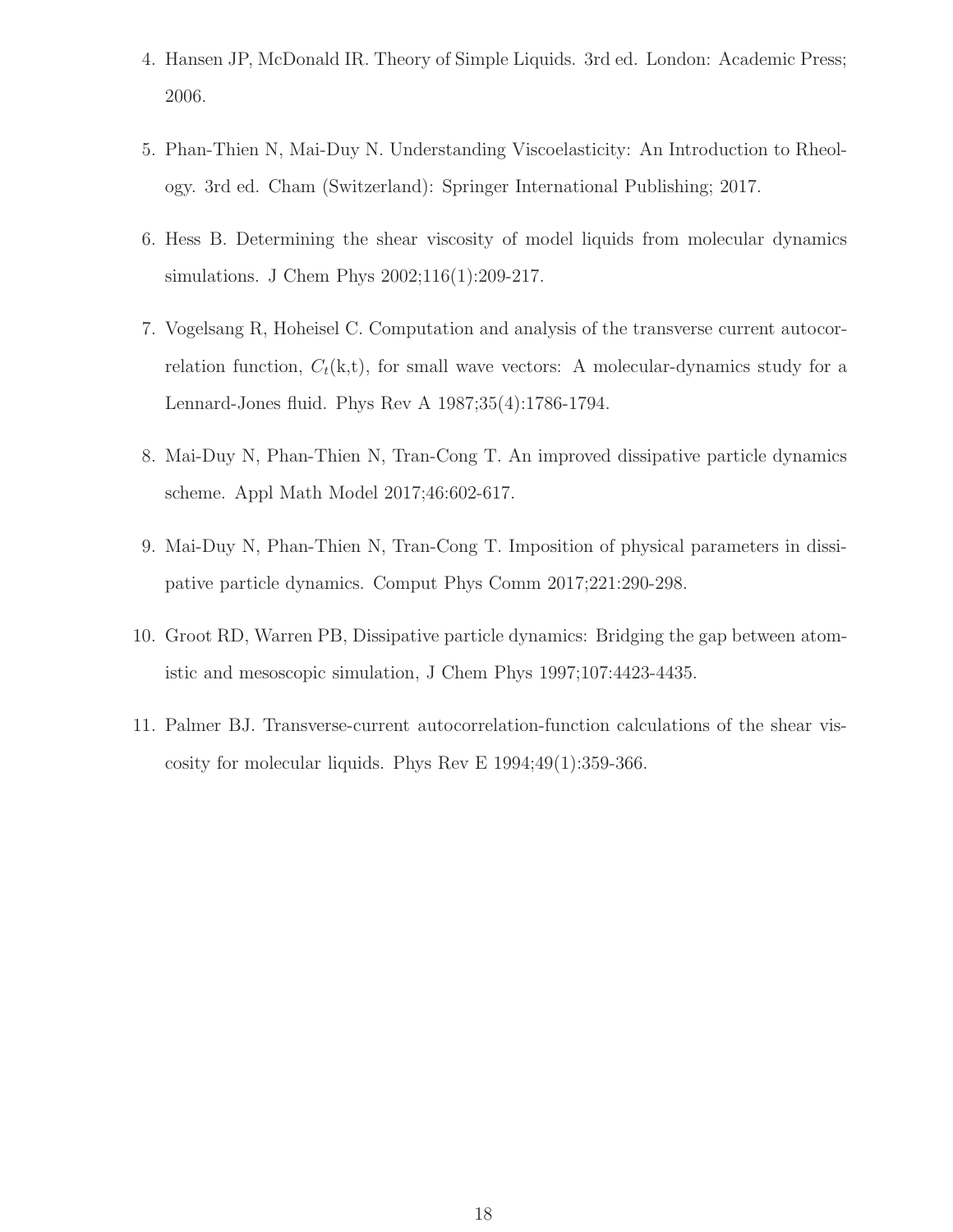- 4. Hansen JP, McDonald IR. Theory of Simple Liquids. 3rd ed. London: Academic Press; 2006.
- 5. Phan-Thien N, Mai-Duy N. Understanding Viscoelasticity: An Introduction to Rheology. 3rd ed. Cham (Switzerland): Springer International Publishing; 2017.
- 6. Hess B. Determining the shear viscosity of model liquids from molecular dynamics simulations. J Chem Phys 2002;116(1):209-217.
- 7. Vogelsang R, Hoheisel C. Computation and analysis of the transverse current autocorrelation function,  $C_t(k,t)$ , for small wave vectors: A molecular-dynamics study for a Lennard-Jones fluid. Phys Rev A 1987;35(4):1786-1794.
- 8. Mai-Duy N, Phan-Thien N, Tran-Cong T. An improved dissipative particle dynamics scheme. Appl Math Model 2017;46:602-617.
- 9. Mai-Duy N, Phan-Thien N, Tran-Cong T. Imposition of physical parameters in dissipative particle dynamics. Comput Phys Comm 2017;221:290-298.
- 10. Groot RD, Warren PB, Dissipative particle dynamics: Bridging the gap between atomistic and mesoscopic simulation, J Chem Phys 1997;107:4423-4435.
- 11. Palmer BJ. Transverse-current autocorrelation-function calculations of the shear viscosity for molecular liquids. Phys Rev E 1994;49(1):359-366.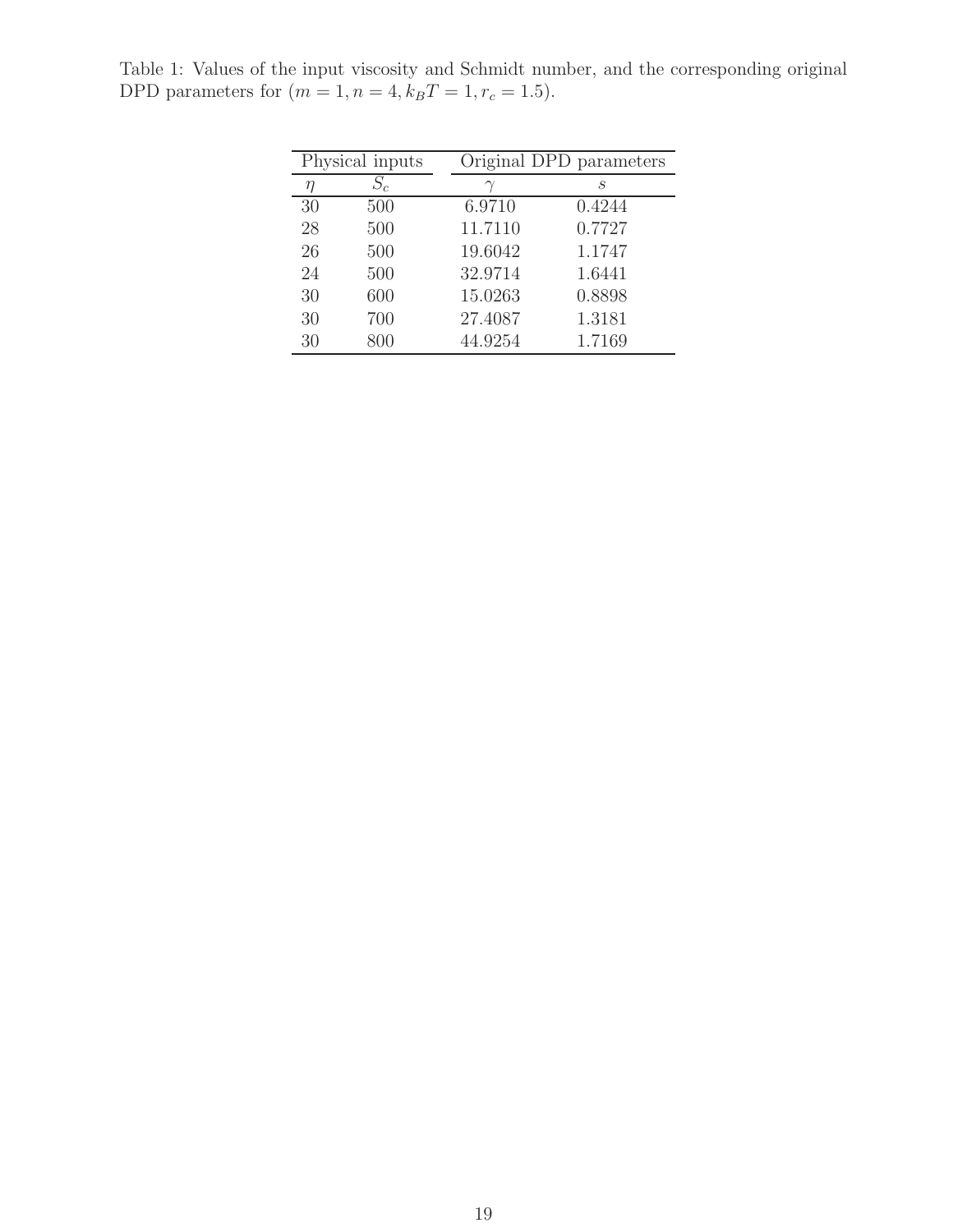| Physical inputs |       | Original DPD parameters |        |
|-----------------|-------|-------------------------|--------|
| $\eta$          | $S_c$ |                         | S      |
| 30              | 500   | 6.9710                  | 0.4244 |
| 28              | 500   | 11.7110                 | 0.7727 |
| 26              | 500   | 19.6042                 | 1.1747 |
| 24              | 500   | 32.9714                 | 1.6441 |
| 30              | 600   | 15.0263                 | 0.8898 |
| 30              | 700   | 27.4087                 | 1.3181 |
| 30              | 800   | 44.9254                 | 1.7169 |
|                 |       |                         |        |

Table 1: Values of the input viscosity and Schmidt number, and the corresponding original DPD parameters for  $(m = 1, n = 4, k_B T = 1, r_c = 1.5)$ .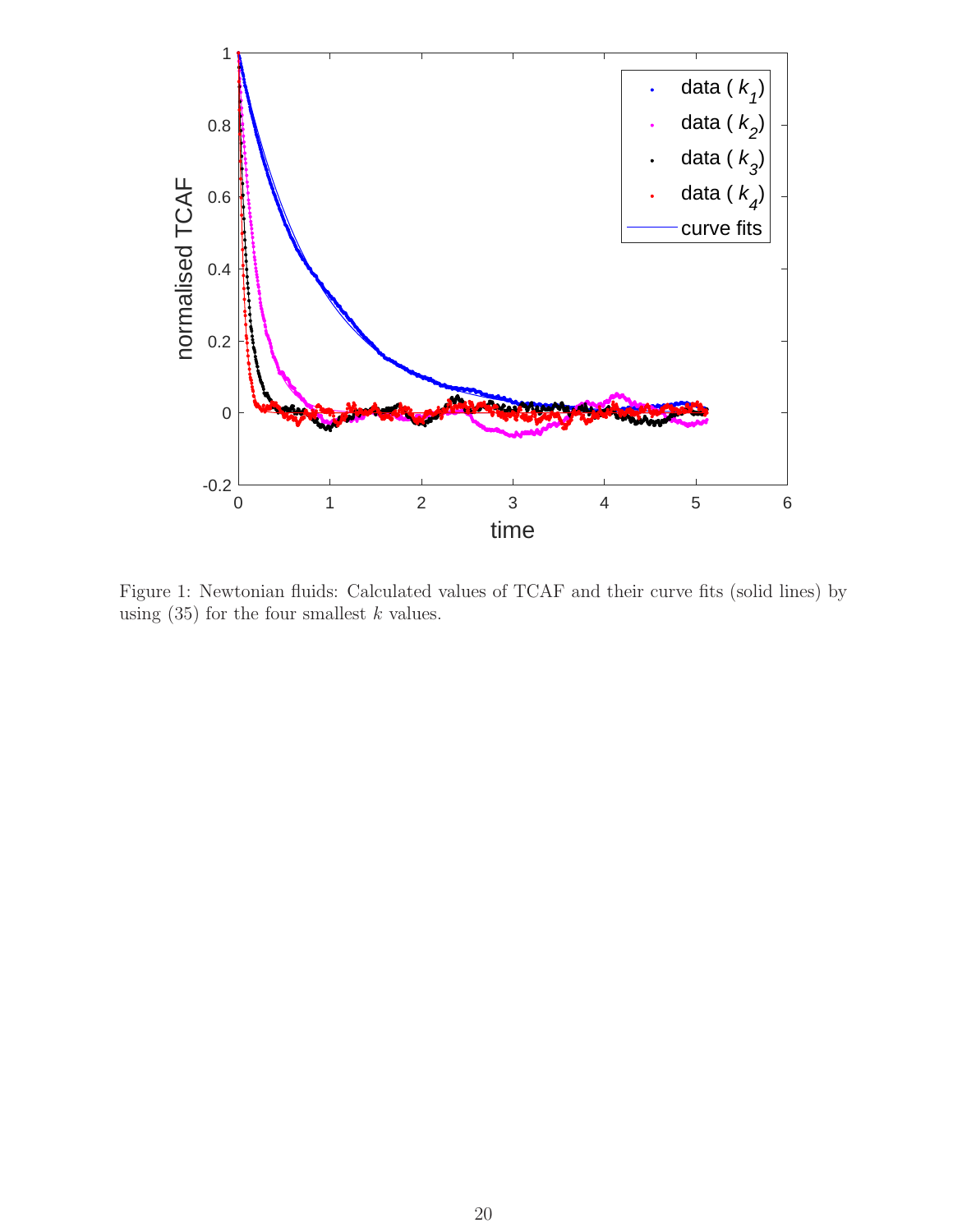

Figure 1: Newtonian fluids: Calculated values of TCAF and their curve fits (solid lines) by using  $(35)$  for the four smallest k values.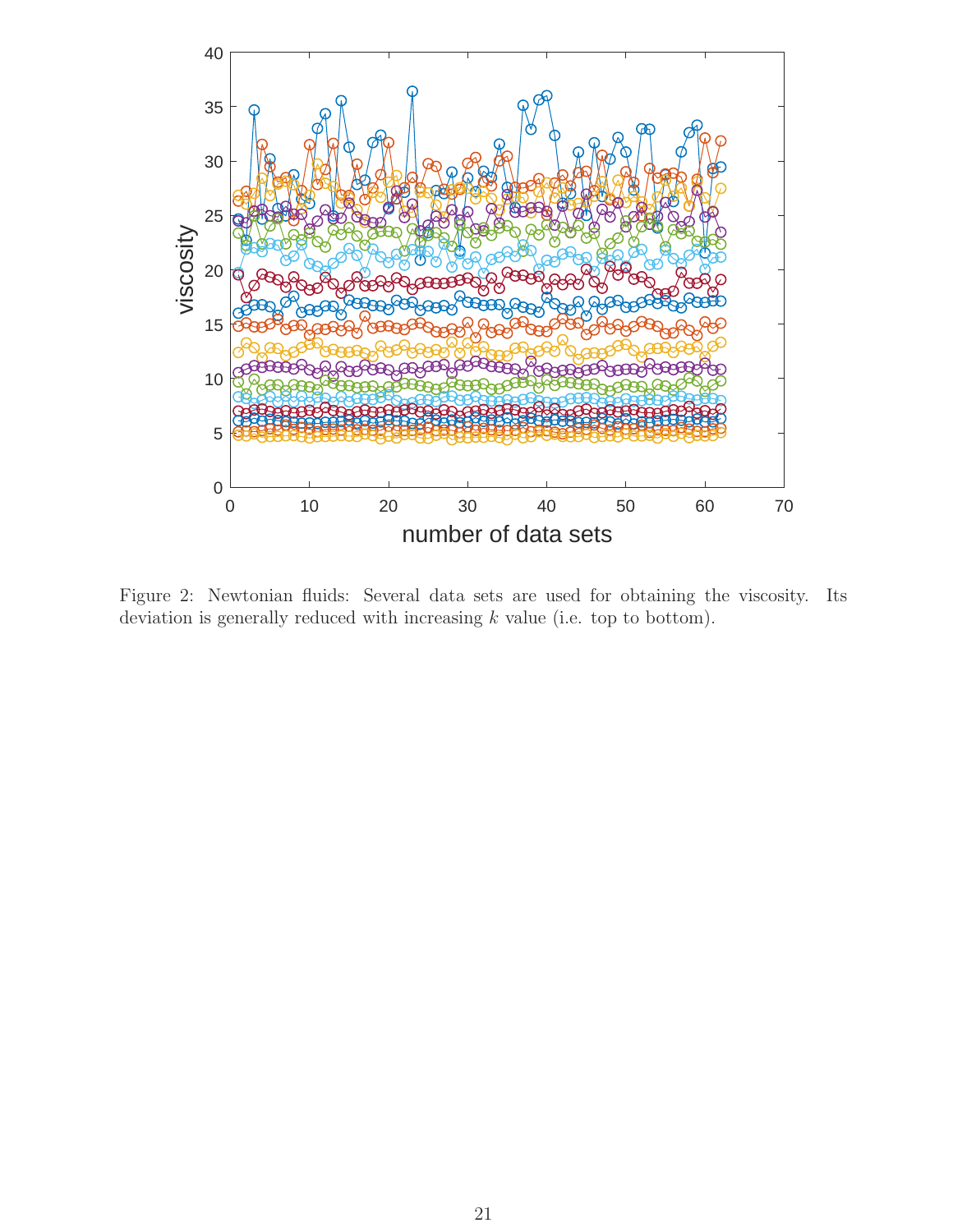

Figure 2: Newtonian fluids: Several data sets are used for obtaining the viscosity. Its deviation is generally reduced with increasing  $k$  value (i.e. top to bottom).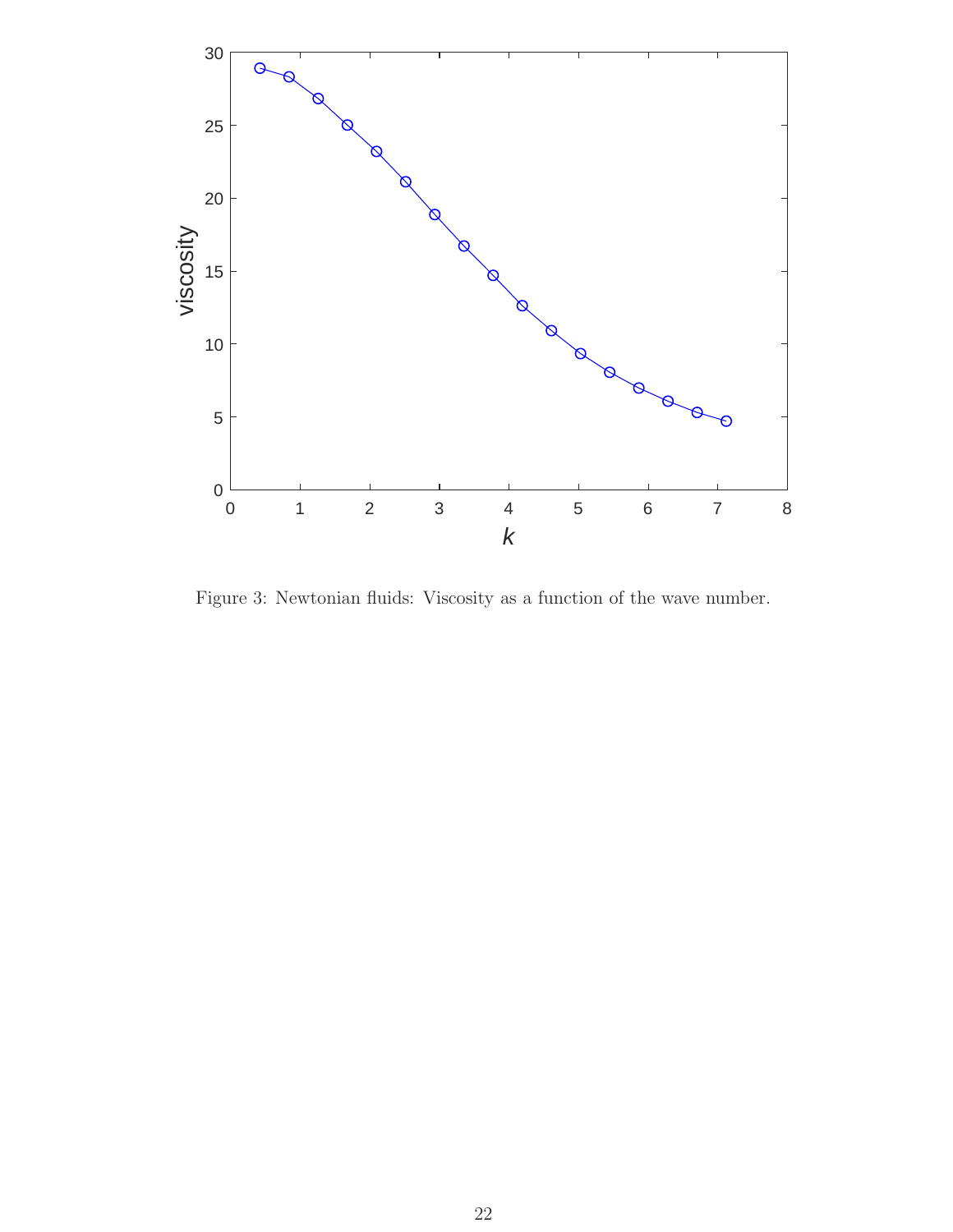

Figure 3: Newtonian fluids: Viscosity as a function of the wave number.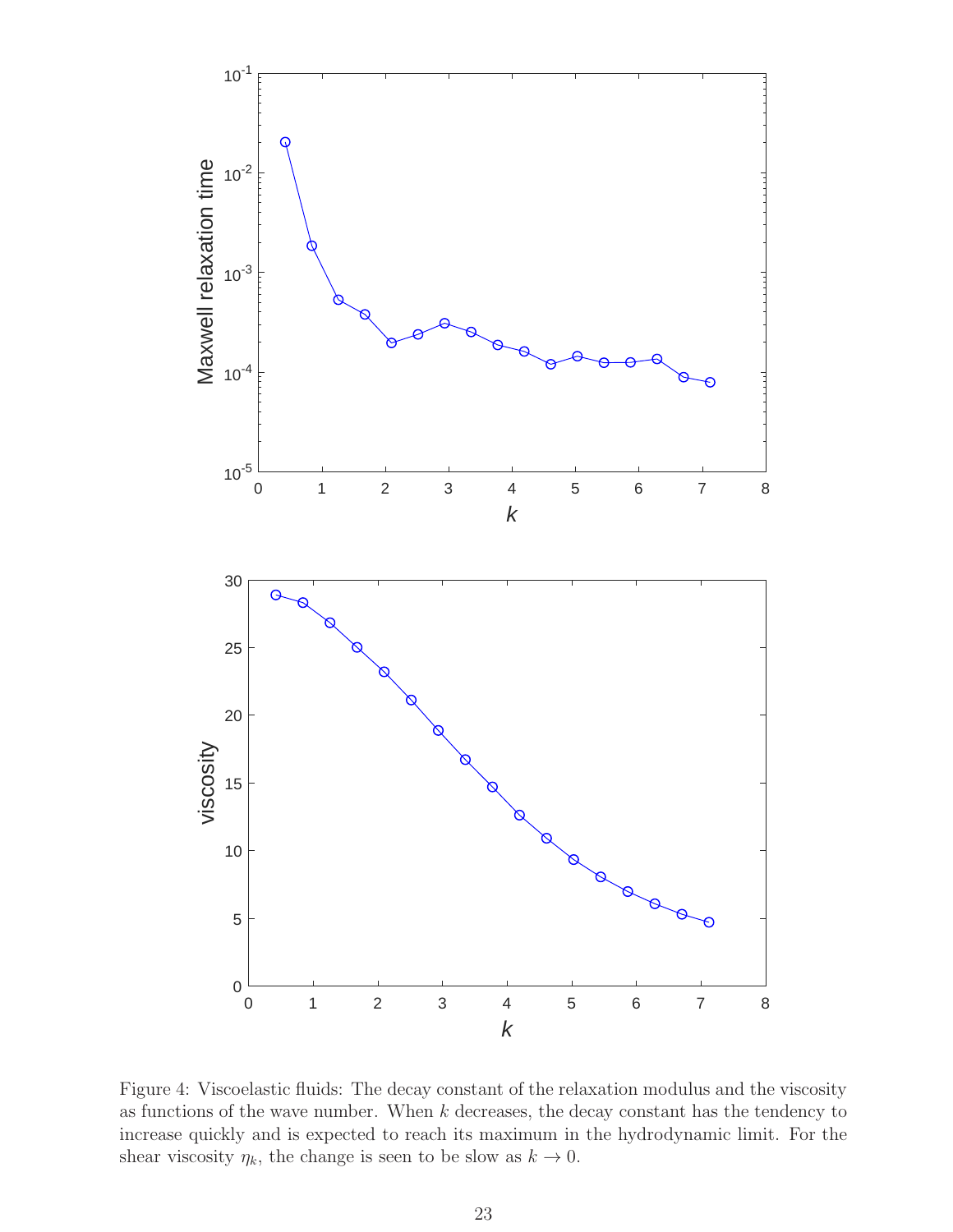

Figure 4: Viscoelastic fluids: The decay constant of the relaxation modulus and the viscosity as functions of the wave number. When  $k$  decreases, the decay constant has the tendency to increase quickly and is expected to reach its maximum in the hydrodynamic limit. For the shear viscosity  $\eta_k$ , the change is seen to be slow as  $k \to 0$ .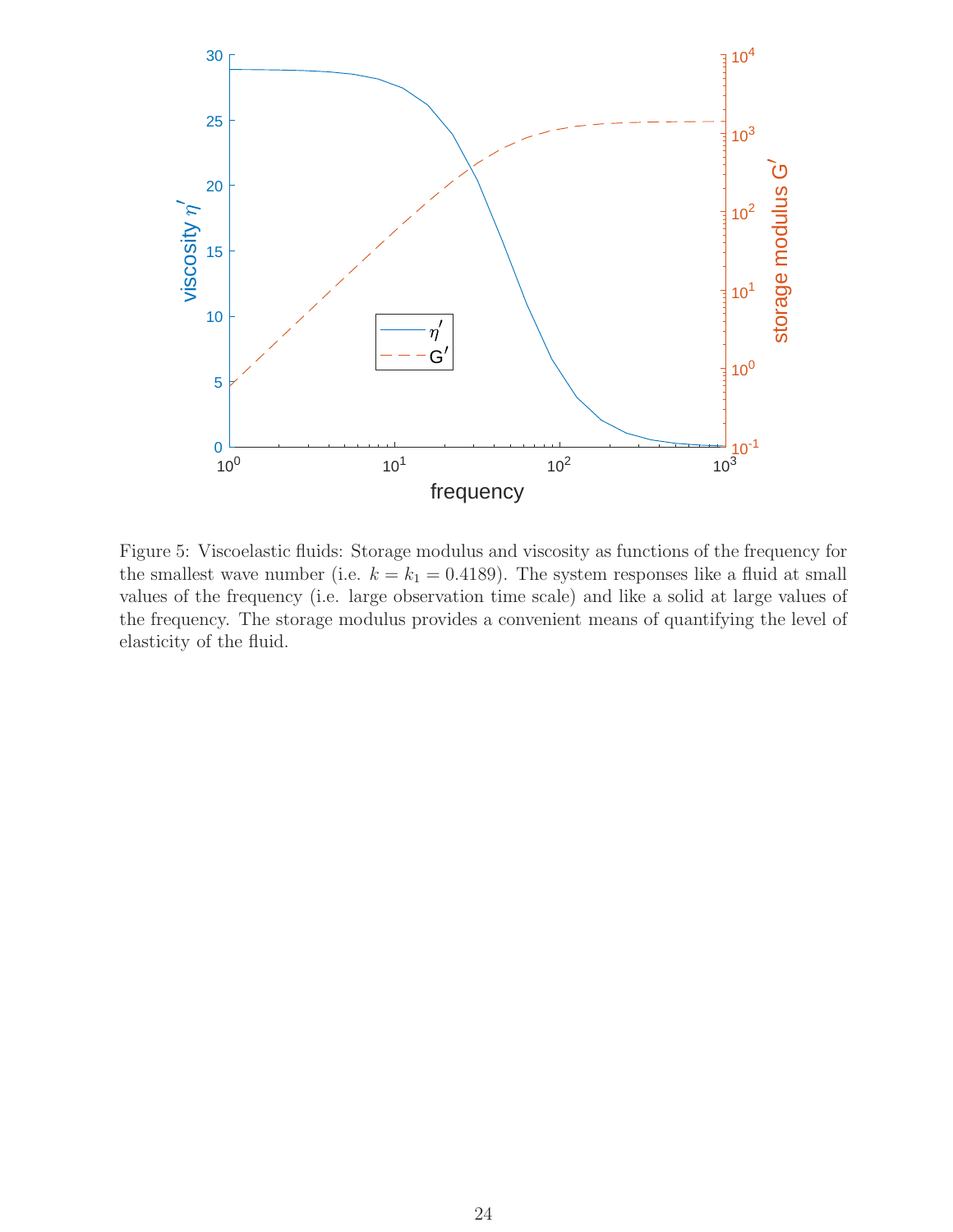

Figure 5: Viscoelastic fluids: Storage modulus and viscosity as functions of the frequency for the smallest wave number (i.e.  $k = k_1 = 0.4189$ ). The system responses like a fluid at small values of the frequency (i.e. large observation time scale) and like a solid at large values of the frequency. The storage modulus provides a convenient means of quantifying the level of elasticity of the fluid.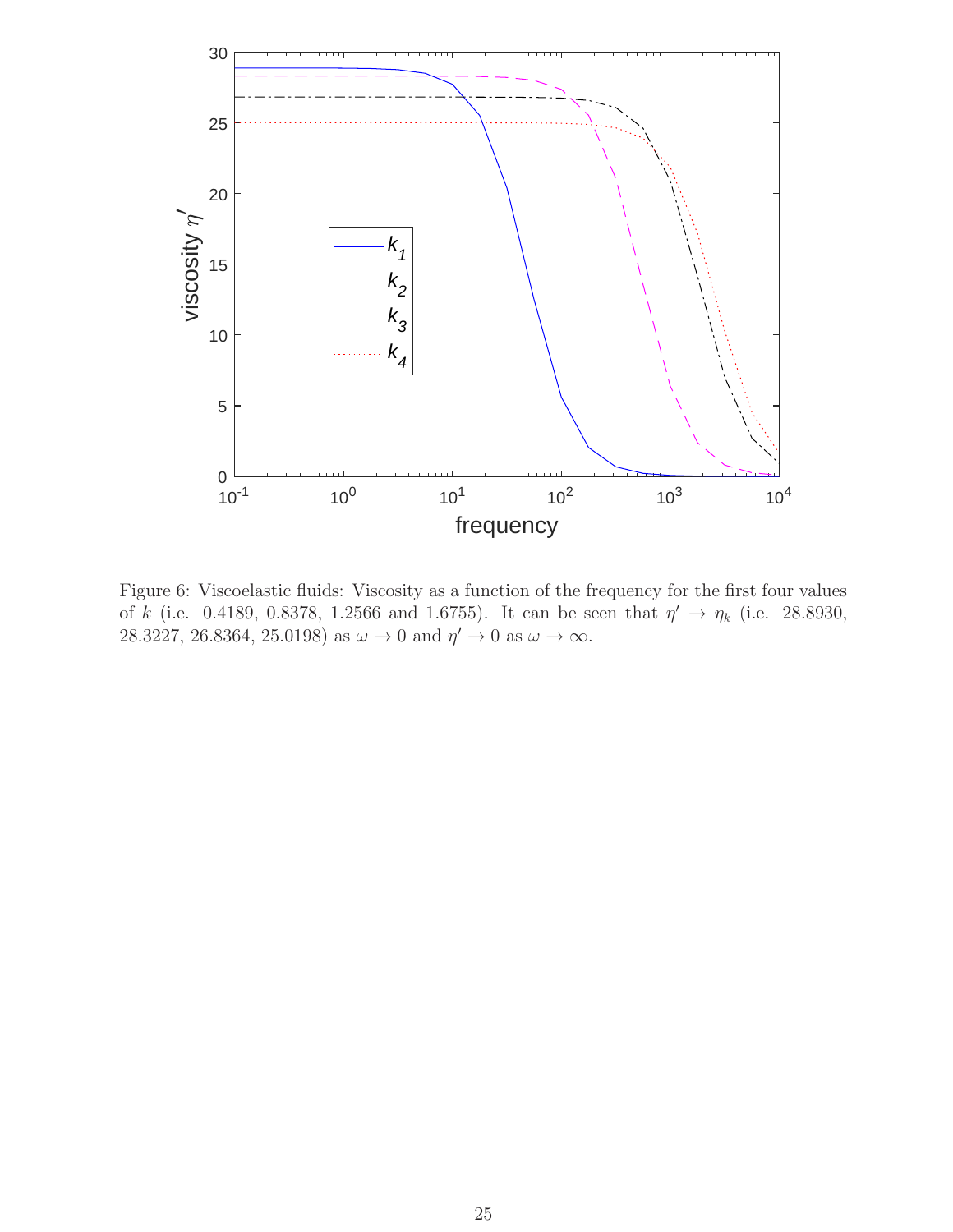

Figure 6: Viscoelastic fluids: Viscosity as a function of the frequency for the first four values of k (i.e. 0.4189, 0.8378, 1.2566 and 1.6755). It can be seen that  $\eta' \to \eta_k$  (i.e. 28.8930, 28.3227, 26.8364, 25.0198) as  $\omega \to 0$  and  $\eta' \to 0$  as  $\omega \to \infty$ .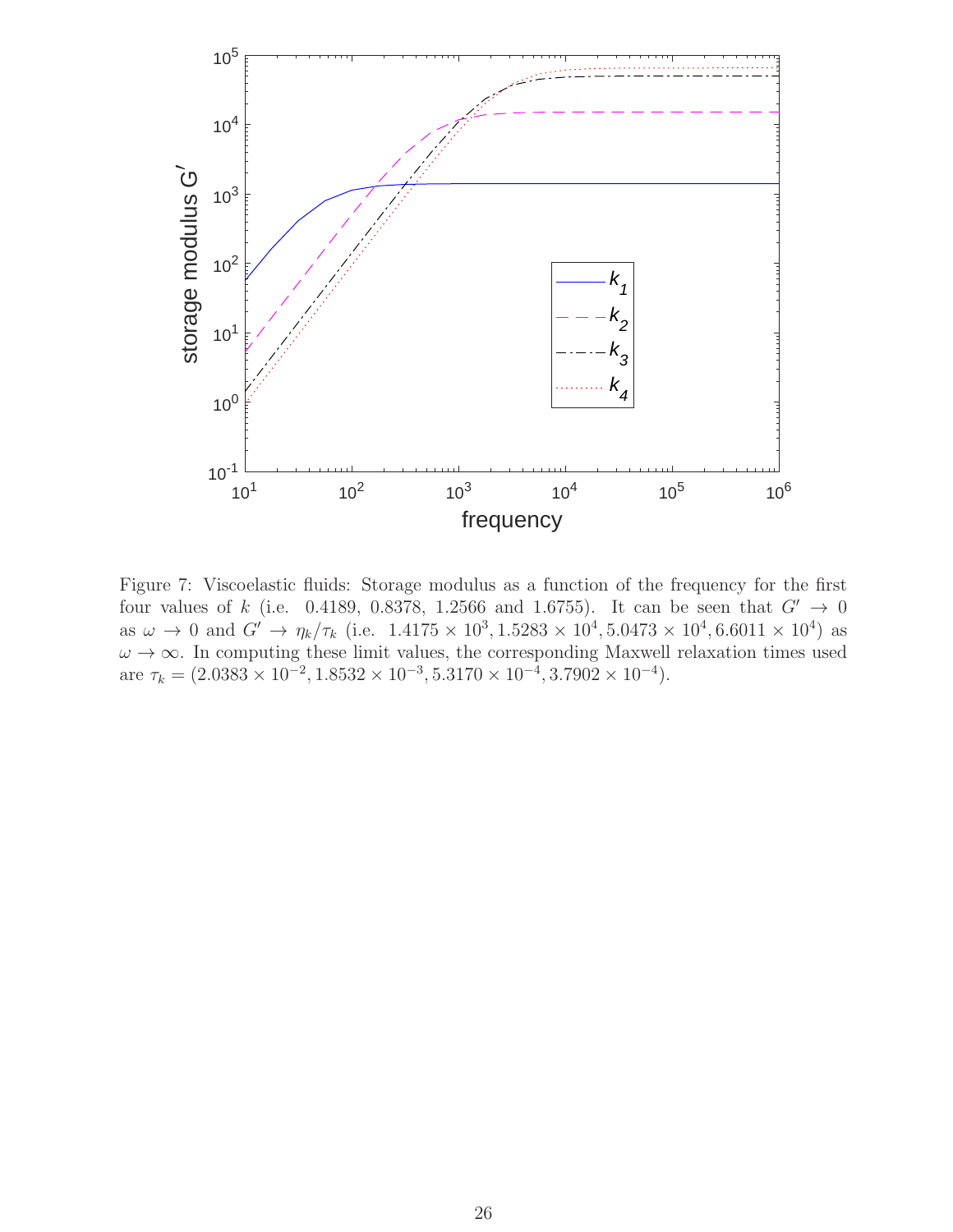

Figure 7: Viscoelastic fluids: Storage modulus as a function of the frequency for the first four values of k (i.e. 0.4189, 0.8378, 1.2566 and 1.6755). It can be seen that  $G' \rightarrow 0$ as  $\omega \to 0$  and  $G' \to \eta_k/\tau_k$  (i.e.  $1.4175 \times 10^3, 1.5283 \times 10^4, 5.0473 \times 10^4, 6.6011 \times 10^4$ ) as  $\omega \to \infty$ . In computing these limit values, the corresponding Maxwell relaxation times used are  $\tau_k = (2.0383 \times 10^{-2}, 1.8532 \times 10^{-3}, 5.3170 \times 10^{-4}, 3.7902 \times 10^{-4}).$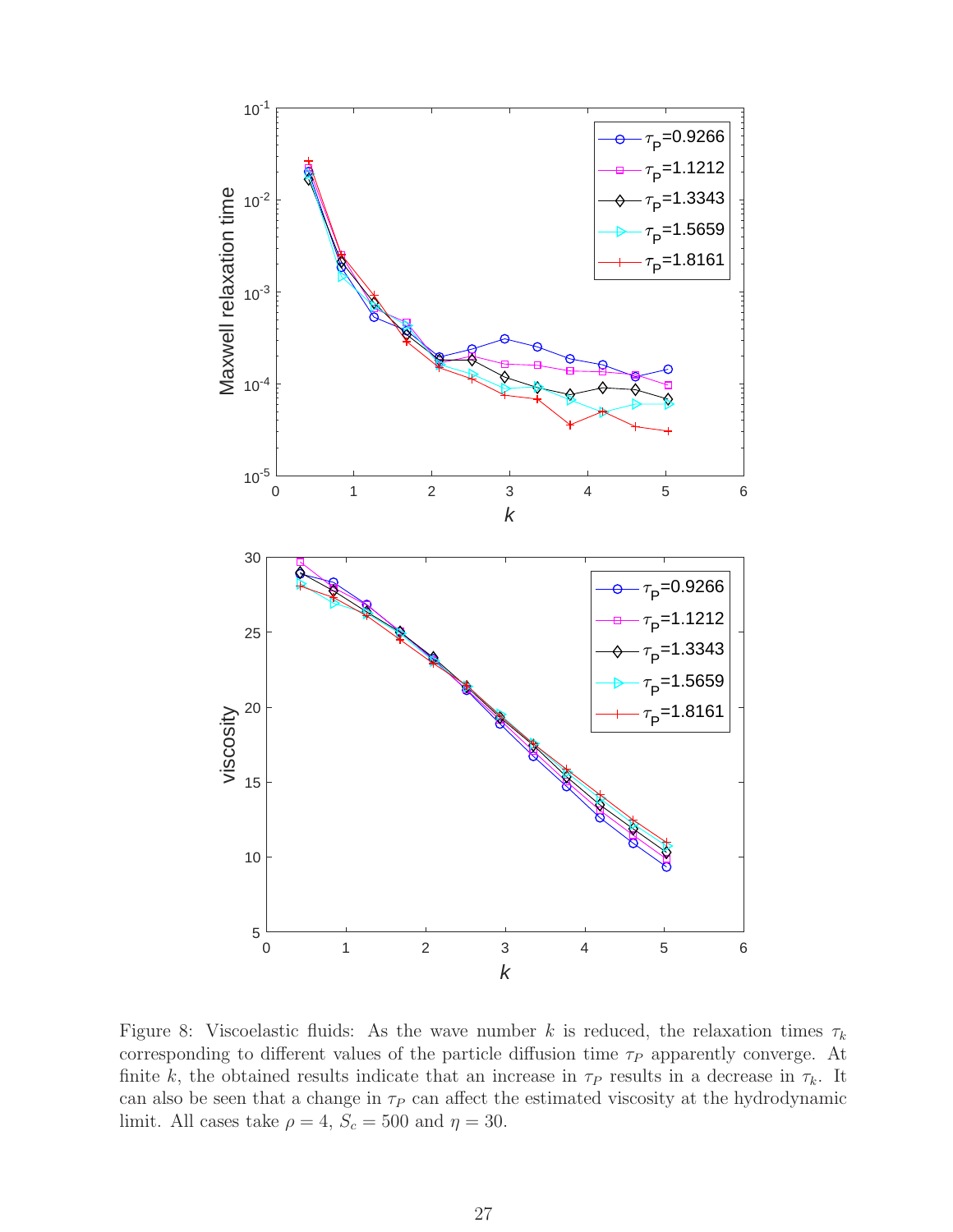

Figure 8: Viscoelastic fluids: As the wave number k is reduced, the relaxation times  $\tau_k$ corresponding to different values of the particle diffusion time  $\tau_P$  apparently converge. At finite k, the obtained results indicate that an increase in  $\tau_P$  results in a decrease in  $\tau_k$ . It can also be seen that a change in  $\tau_P$  can affect the estimated viscosity at the hydrodynamic limit. All cases take  $\rho = 4$ ,  $S_c = 500$  and  $\eta = 30$ .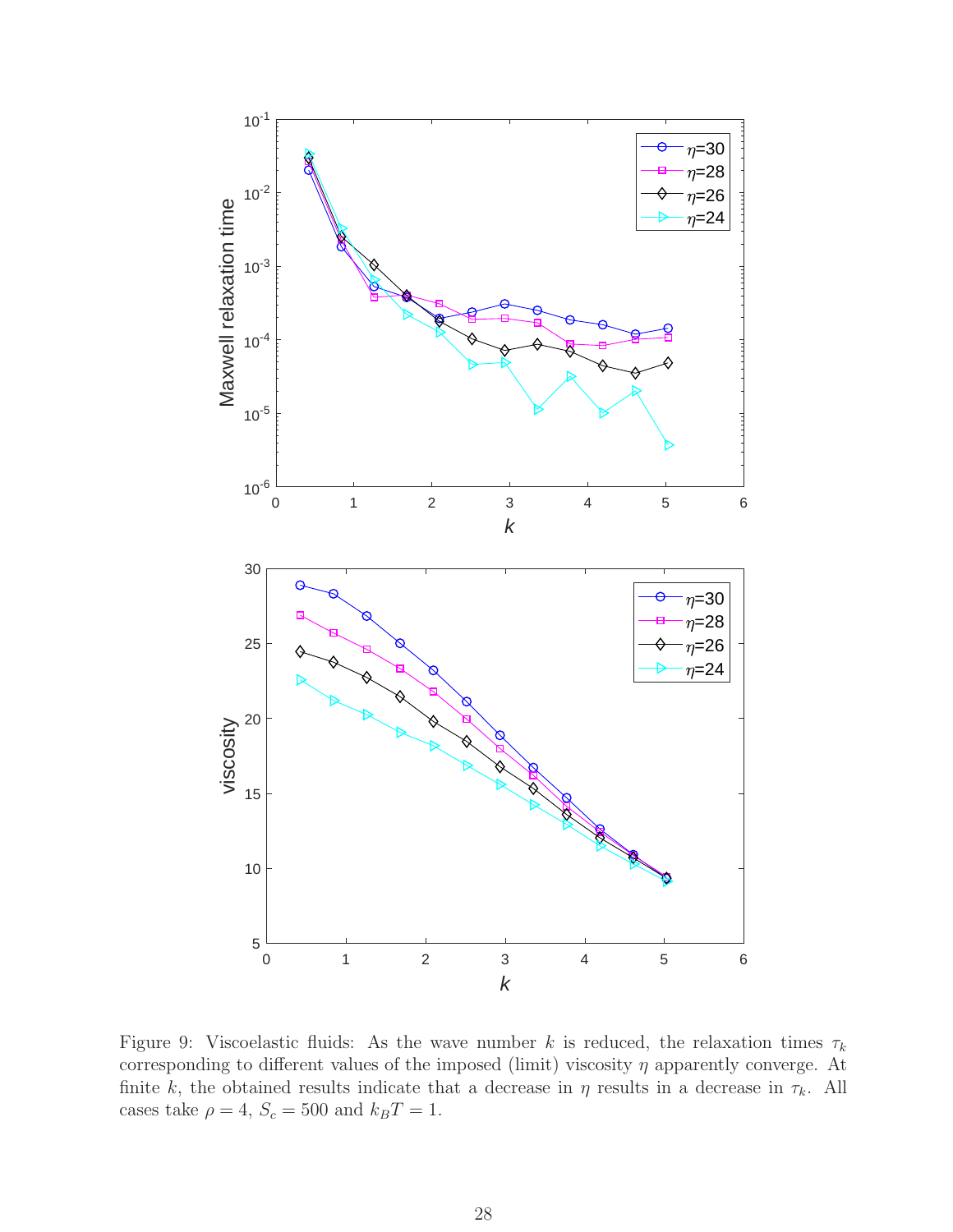

Figure 9: Viscoelastic fluids: As the wave number k is reduced, the relaxation times  $\tau_k$ corresponding to different values of the imposed (limit) viscosity  $\eta$  apparently converge. At finite k, the obtained results indicate that a decrease in  $\eta$  results in a decrease in  $\tau_k$ . All cases take  $\rho = 4, S_c = 500$  and  $k_B T = 1$ .